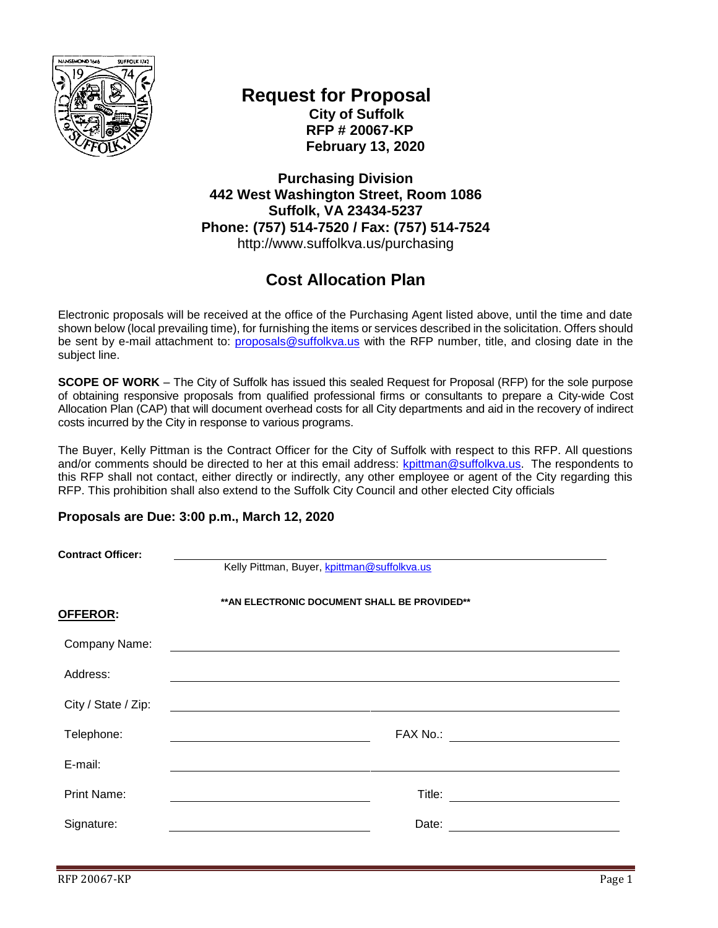

## **Request for Proposal City of Suffolk RFP # 20067-KP February 13, 2020**

**Purchasing Division 442 West Washington Street, Room 1086 Suffolk, VA 23434-5237 Phone: (757) 514-7520 / Fax: (757) 514-7524** http://www.suffolkva.us/purchasing

## **Cost Allocation Plan**

Electronic proposals will be received at the office of the Purchasing Agent listed above, until the time and date shown below (local prevailing time), for furnishing the items or services described in the solicitation. Offers should be sent by e-mail attachment to: *proposals@suffolkva.us* with the RFP number, title, and closing date in the subject line.

**SCOPE OF WORK** – The City of Suffolk has issued this sealed Request for Proposal (RFP) for the sole purpose of obtaining responsive proposals from qualified professional firms or consultants to prepare a City-wide Cost Allocation Plan (CAP) that will document overhead costs for all City departments and aid in the recovery of indirect costs incurred by the City in response to various programs.

The Buyer, Kelly Pittman is the Contract Officer for the City of Suffolk with respect to this RFP. All questions and/or comments should be directed to her at this email address: [kpittman@suffolkva.us.](mailto:kpittman@suffolkva.us) The respondents to this RFP shall not contact, either directly or indirectly, any other employee or agent of the City regarding this RFP. This prohibition shall also extend to the Suffolk City Council and other elected City officials

#### **Proposals are Due: 3:00 p.m., March 12, 2020**

| <b>Contract Officer:</b> | Kelly Pittman, Buyer, kpittman@suffolkva.us                                                                           |  |  |
|--------------------------|-----------------------------------------------------------------------------------------------------------------------|--|--|
| <u>OFFEROR:</u>          | ** AN ELECTRONIC DOCUMENT SHALL BE PROVIDED**                                                                         |  |  |
| Company Name:            | <u> 1989 - Johann Stein, mars and de Branch and de Branch and de Branch and de Branch and de Branch and de Branch</u> |  |  |
| Address:                 |                                                                                                                       |  |  |
| City / State / Zip:      |                                                                                                                       |  |  |
| Telephone:               |                                                                                                                       |  |  |
| E-mail:                  |                                                                                                                       |  |  |
| <b>Print Name:</b>       |                                                                                                                       |  |  |
| Signature:               | Date:                                                                                                                 |  |  |
|                          |                                                                                                                       |  |  |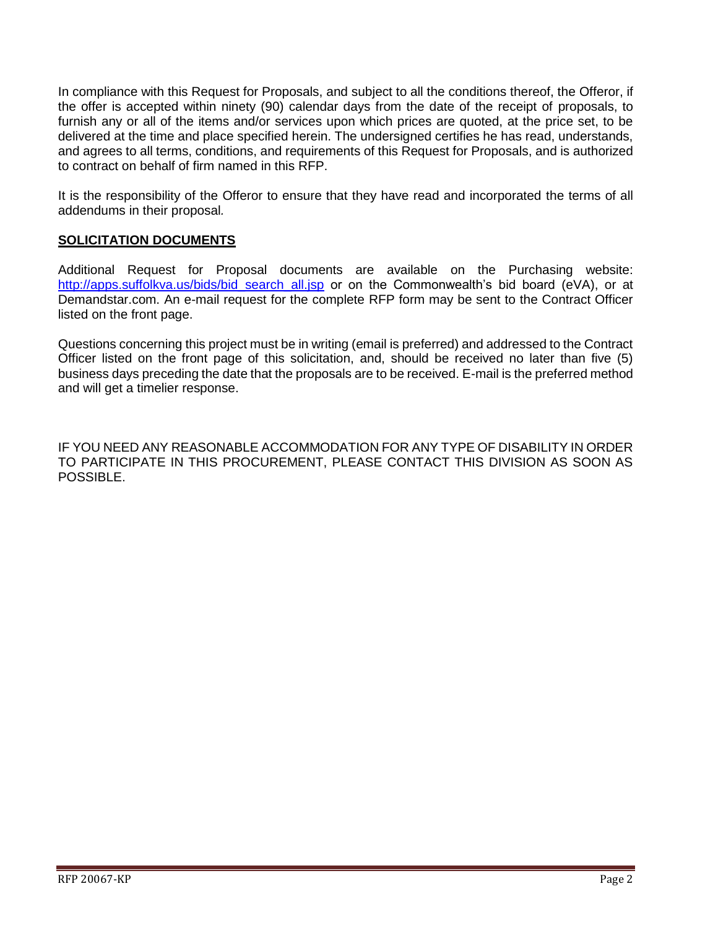In compliance with this Request for Proposals, and subject to all the conditions thereof, the Offeror, if the offer is accepted within ninety (90) calendar days from the date of the receipt of proposals, to furnish any or all of the items and/or services upon which prices are quoted, at the price set, to be delivered at the time and place specified herein. The undersigned certifies he has read, understands, and agrees to all terms, conditions, and requirements of this Request for Proposals, and is authorized to contract on behalf of firm named in this RFP.

It is the responsibility of the Offeror to ensure that they have read and incorporated the terms of all addendums in their proposal*.*

### **SOLICITATION DOCUMENTS**

Additional Request for Proposal documents are available on the Purchasing website: [http://apps.suffolkva.us/bids/bid\\_search\\_all.jsp](http://apps.suffolkva.us/bids/bid_search_all.jsp) or on the Commonwealth's bid board (eVA), or at Demandstar.com. An e-mail request for the complete RFP form may be sent to the Contract Officer listed on the front page.

Questions concerning this project must be in writing (email is preferred) and addressed to the Contract Officer listed on the front page of this solicitation, and, should be received no later than five (5) business days preceding the date that the proposals are to be received. E-mail is the preferred method and will get a timelier response.

IF YOU NEED ANY REASONABLE ACCOMMODATION FOR ANY TYPE OF DISABILITY IN ORDER TO PARTICIPATE IN THIS PROCUREMENT, PLEASE CONTACT THIS DIVISION AS SOON AS POSSIBLE.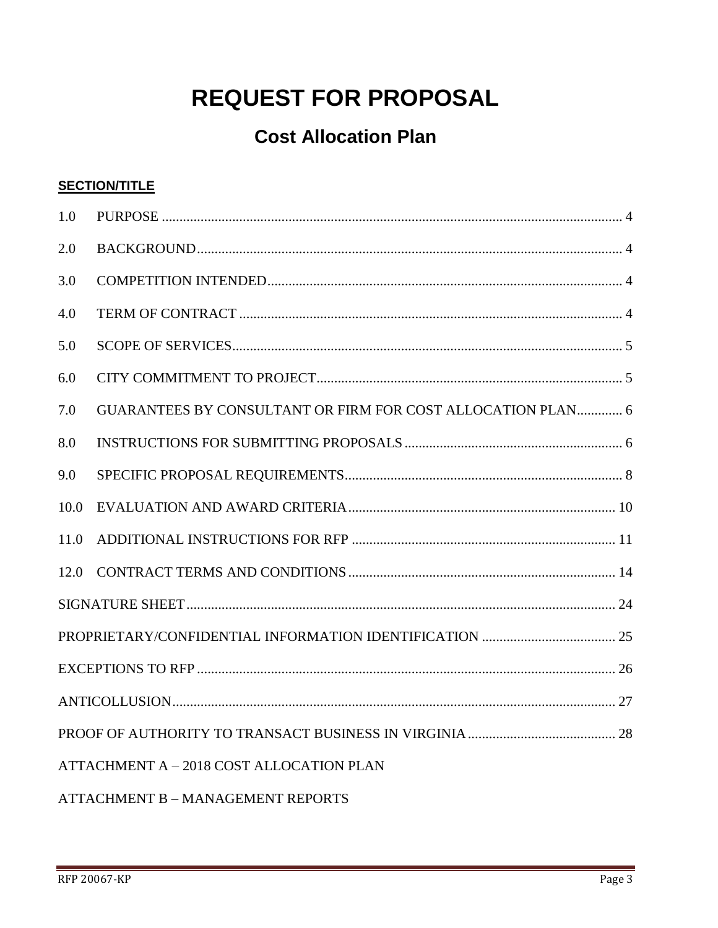# **REQUEST FOR PROPOSAL**

## **Cost Allocation Plan**

## **SECTION/TITLE**

| 1.0                                      |                                                             |  |  |  |
|------------------------------------------|-------------------------------------------------------------|--|--|--|
| 2.0                                      |                                                             |  |  |  |
| 3.0                                      |                                                             |  |  |  |
| 4.0                                      |                                                             |  |  |  |
| 5.0                                      |                                                             |  |  |  |
| 6.0                                      |                                                             |  |  |  |
| 7.0                                      | GUARANTEES BY CONSULTANT OR FIRM FOR COST ALLOCATION PLAN 6 |  |  |  |
| 8.0                                      |                                                             |  |  |  |
| 9.0                                      |                                                             |  |  |  |
| 10.0                                     |                                                             |  |  |  |
| 11.0                                     |                                                             |  |  |  |
| 12.0                                     |                                                             |  |  |  |
|                                          |                                                             |  |  |  |
|                                          |                                                             |  |  |  |
|                                          |                                                             |  |  |  |
|                                          |                                                             |  |  |  |
|                                          |                                                             |  |  |  |
| ATTACHMENT A - 2018 COST ALLOCATION PLAN |                                                             |  |  |  |
| ATTACHMENT B - MANAGEMENT REPORTS        |                                                             |  |  |  |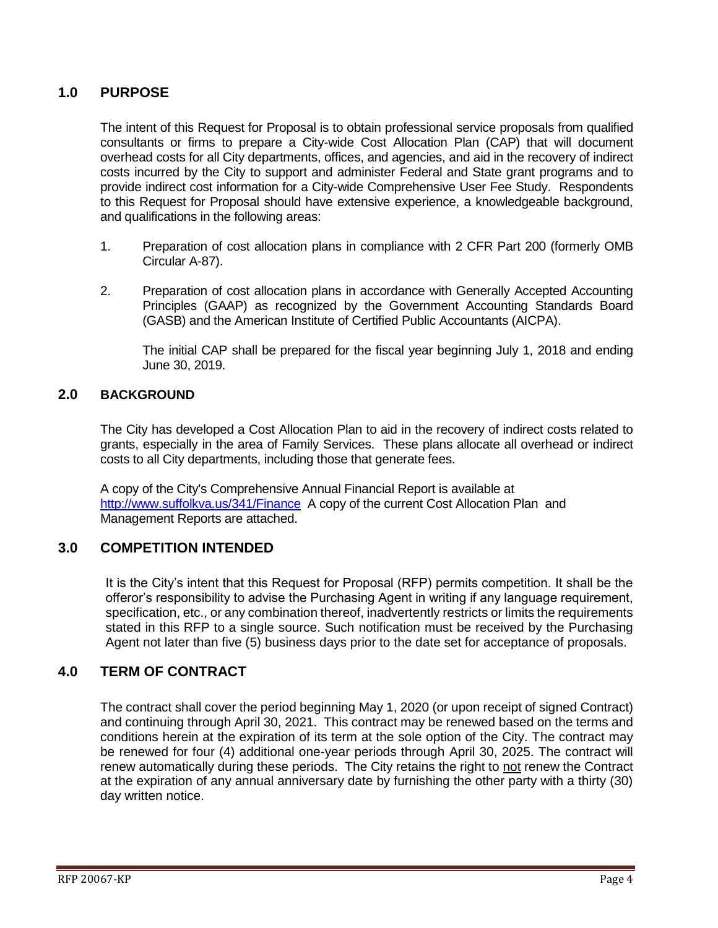#### <span id="page-3-0"></span>**1.0 PURPOSE**

The intent of this Request for Proposal is to obtain professional service proposals from qualified consultants or firms to prepare a City-wide Cost Allocation Plan (CAP) that will document overhead costs for all City departments, offices, and agencies, and aid in the recovery of indirect costs incurred by the City to support and administer Federal and State grant programs and to provide indirect cost information for a City-wide Comprehensive User Fee Study. Respondents to this Request for Proposal should have extensive experience, a knowledgeable background, and qualifications in the following areas:

- 1. Preparation of cost allocation plans in compliance with 2 CFR Part 200 (formerly OMB Circular A-87).
- 2. Preparation of cost allocation plans in accordance with Generally Accepted Accounting Principles (GAAP) as recognized by the Government Accounting Standards Board (GASB) and the American Institute of Certified Public Accountants (AICPA).

The initial CAP shall be prepared for the fiscal year beginning July 1, 2018 and ending June 30, 2019.

#### <span id="page-3-1"></span>**2.0 BACKGROUND**

The City has developed a Cost Allocation Plan to aid in the recovery of indirect costs related to grants, especially in the area of Family Services. These plans allocate all overhead or indirect costs to all City departments, including those that generate fees.

A copy of the City's Comprehensive Annual Financial Report is available at <http://www.suffolkva.us/341/Finance> A copy of the current Cost Allocation Plan and Management Reports are attached.

#### <span id="page-3-2"></span>**3.0 COMPETITION INTENDED**

It is the City's intent that this Request for Proposal (RFP) permits competition. It shall be the offeror's responsibility to advise the Purchasing Agent in writing if any language requirement, specification, etc., or any combination thereof, inadvertently restricts or limits the requirements stated in this RFP to a single source. Such notification must be received by the Purchasing Agent not later than five (5) business days prior to the date set for acceptance of proposals.

#### <span id="page-3-3"></span>**4.0 TERM OF CONTRACT**

The contract shall cover the period beginning May 1, 2020 (or upon receipt of signed Contract) and continuing through April 30, 2021. This contract may be renewed based on the terms and conditions herein at the expiration of its term at the sole option of the City. The contract may be renewed for four (4) additional one-year periods through April 30, 2025. The contract will renew automatically during these periods. The City retains the right to not renew the Contract at the expiration of any annual anniversary date by furnishing the other party with a thirty (30) day written notice.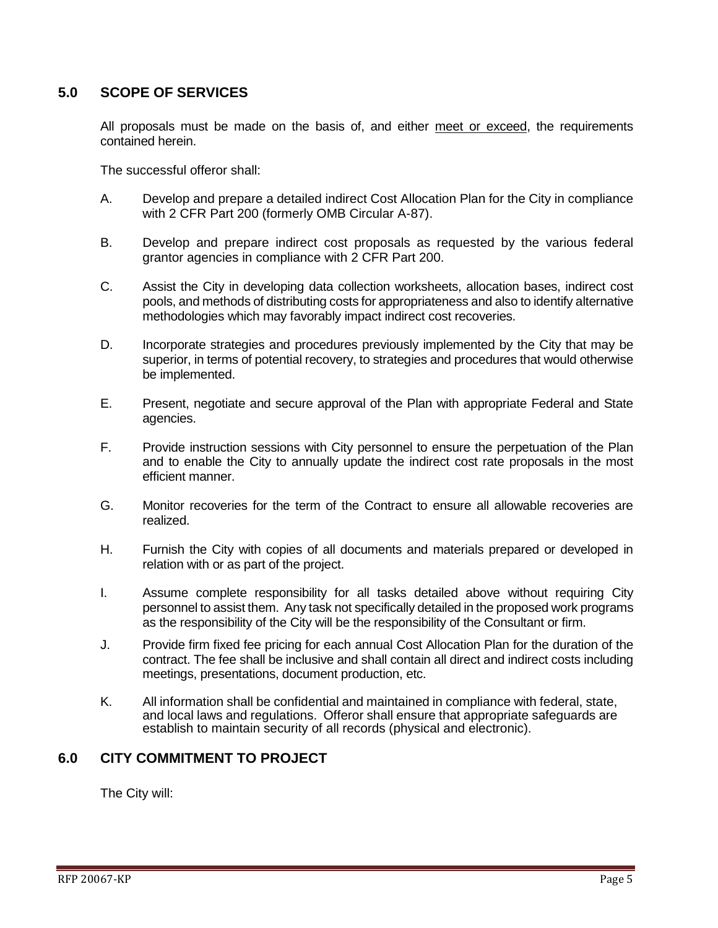### <span id="page-4-0"></span>**5.0 SCOPE OF SERVICES**

All proposals must be made on the basis of, and either meet or exceed, the requirements contained herein.

The successful offeror shall:

- A. Develop and prepare a detailed indirect Cost Allocation Plan for the City in compliance with 2 CFR Part 200 (formerly OMB Circular A-87).
- B. Develop and prepare indirect cost proposals as requested by the various federal grantor agencies in compliance with 2 CFR Part 200.
- C. Assist the City in developing data collection worksheets, allocation bases, indirect cost pools, and methods of distributing costs for appropriateness and also to identify alternative methodologies which may favorably impact indirect cost recoveries.
- D. Incorporate strategies and procedures previously implemented by the City that may be superior, in terms of potential recovery, to strategies and procedures that would otherwise be implemented.
- E. Present, negotiate and secure approval of the Plan with appropriate Federal and State agencies.
- F. Provide instruction sessions with City personnel to ensure the perpetuation of the Plan and to enable the City to annually update the indirect cost rate proposals in the most efficient manner.
- G. Monitor recoveries for the term of the Contract to ensure all allowable recoveries are realized.
- H. Furnish the City with copies of all documents and materials prepared or developed in relation with or as part of the project.
- I. Assume complete responsibility for all tasks detailed above without requiring City personnel to assist them. Any task not specifically detailed in the proposed work programs as the responsibility of the City will be the responsibility of the Consultant or firm.
- J. Provide firm fixed fee pricing for each annual Cost Allocation Plan for the duration of the contract. The fee shall be inclusive and shall contain all direct and indirect costs including meetings, presentations, document production, etc.
- K. All information shall be confidential and maintained in compliance with federal, state, and local laws and regulations. Offeror shall ensure that appropriate safeguards are establish to maintain security of all records (physical and electronic).

#### <span id="page-4-1"></span>**6.0 CITY COMMITMENT TO PROJECT**

The City will: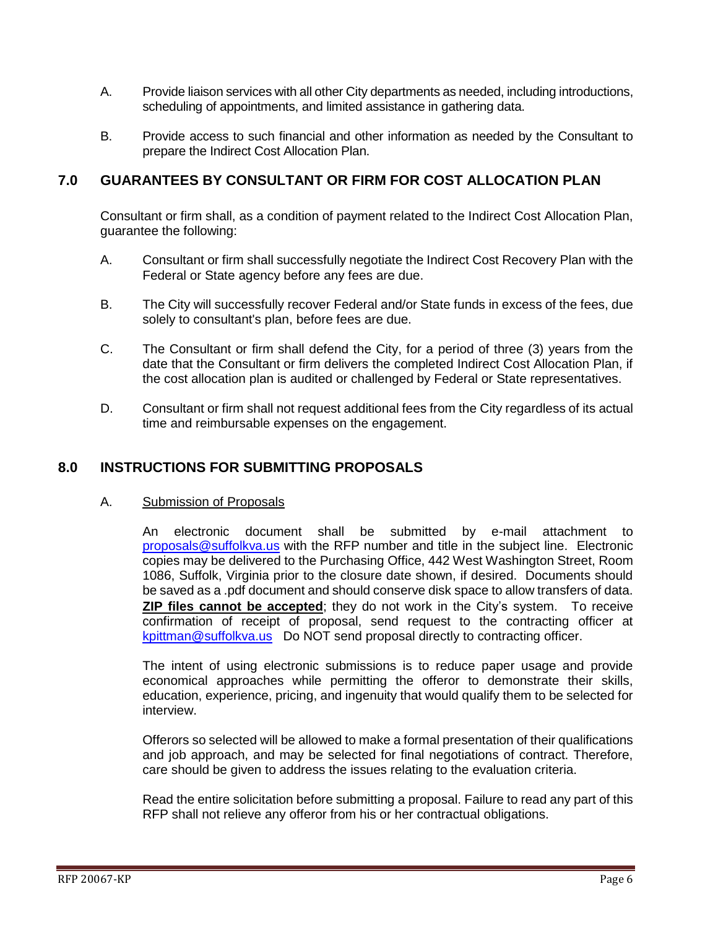- A. Provide liaison services with all other City departments as needed, including introductions, scheduling of appointments, and limited assistance in gathering data.
- B. Provide access to such financial and other information as needed by the Consultant to prepare the Indirect Cost Allocation Plan.

### <span id="page-5-0"></span>**7.0 GUARANTEES BY CONSULTANT OR FIRM FOR COST ALLOCATION PLAN**

Consultant or firm shall, as a condition of payment related to the Indirect Cost Allocation Plan, guarantee the following:

- A. Consultant or firm shall successfully negotiate the Indirect Cost Recovery Plan with the Federal or State agency before any fees are due.
- B. The City will successfully recover Federal and/or State funds in excess of the fees, due solely to consultant's plan, before fees are due.
- C. The Consultant or firm shall defend the City, for a period of three (3) years from the date that the Consultant or firm delivers the completed Indirect Cost Allocation Plan, if the cost allocation plan is audited or challenged by Federal or State representatives.
- D. Consultant or firm shall not request additional fees from the City regardless of its actual time and reimbursable expenses on the engagement.

#### <span id="page-5-1"></span>**8.0 INSTRUCTIONS FOR SUBMITTING PROPOSALS**

#### A. Submission of Proposals

An electronic document shall be submitted by e-mail attachment to [proposals@suffolkva.us](mailto:proposals@suffolkva.us) with the RFP number and title in the subject line. Electronic copies may be delivered to the Purchasing Office, 442 West Washington Street, Room 1086, Suffolk, Virginia prior to the closure date shown, if desired. Documents should be saved as a .pdf document and should conserve disk space to allow transfers of data. **ZIP files cannot be accepted**; they do not work in the City's system. To receive confirmation of receipt of proposal, send request to the contracting officer at [kpittman@suffolkva.us](mailto:kpittman@suffolkva.us) Do NOT send proposal directly to contracting officer.

The intent of using electronic submissions is to reduce paper usage and provide economical approaches while permitting the offeror to demonstrate their skills, education, experience, pricing, and ingenuity that would qualify them to be selected for interview.

Offerors so selected will be allowed to make a formal presentation of their qualifications and job approach, and may be selected for final negotiations of contract. Therefore, care should be given to address the issues relating to the evaluation criteria.

Read the entire solicitation before submitting a proposal. Failure to read any part of this RFP shall not relieve any offeror from his or her contractual obligations.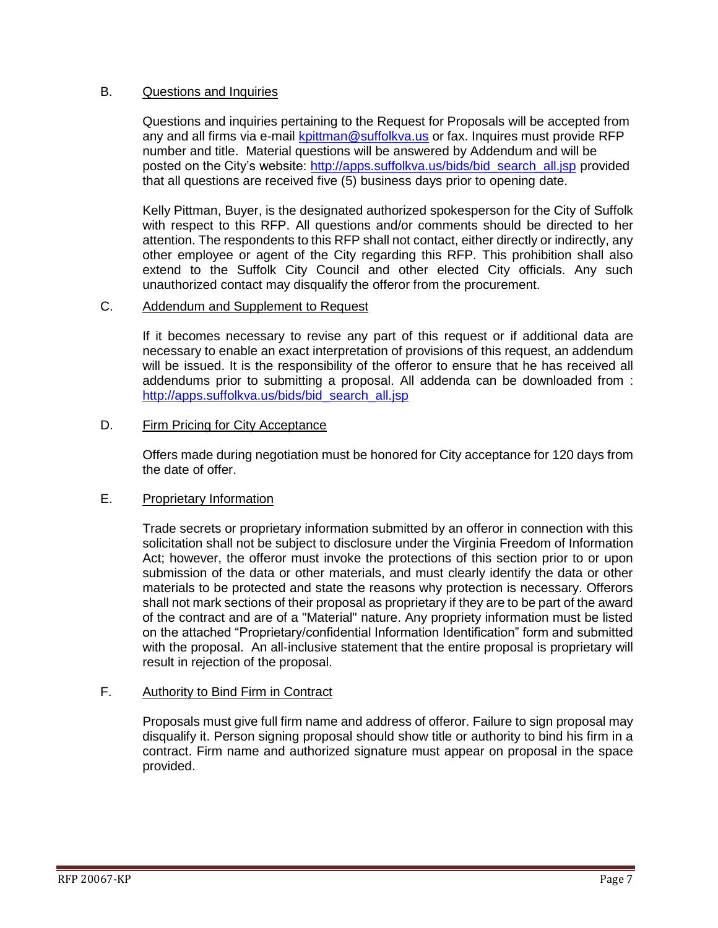#### B. Questions and Inquiries

Questions and inquiries pertaining to the Request for Proposals will be accepted from any and all firms via e-mail [kpittman@suffolkva.us](mailto:kpittman@suffolkva.us) or fax. Inquires must provide RFP number and title. Material questions will be answered by Addendum and will be posted on the City's website: [http://apps.suffolkva.us/bids/bid\\_search\\_all.jsp](http://apps.suffolkva.us/bids/bid_search_all.jsp) provided that all questions are received five (5) business days prior to opening date.

Kelly Pittman, Buyer, is the designated authorized spokesperson for the City of Suffolk with respect to this RFP. All questions and/or comments should be directed to her attention. The respondents to this RFP shall not contact, either directly or indirectly, any other employee or agent of the City regarding this RFP. This prohibition shall also extend to the Suffolk City Council and other elected City officials. Any such unauthorized contact may disqualify the offeror from the procurement.

#### C. Addendum and Supplement to Request

If it becomes necessary to revise any part of this request or if additional data are necessary to enable an exact interpretation of provisions of this request, an addendum will be issued. It is the responsibility of the offeror to ensure that he has received all addendums prior to submitting a proposal. All addenda can be downloaded from : [http://apps.suffolkva.us/bids/bid\\_search\\_all.jsp](http://apps.suffolkva.us/bids/bid_search_all.jsp)

#### D. Firm Pricing for City Acceptance

Offers made during negotiation must be honored for City acceptance for 120 days from the date of offer.

#### E. Proprietary Information

Trade secrets or proprietary information submitted by an offeror in connection with this solicitation shall not be subject to disclosure under the Virginia Freedom of Information Act; however, the offeror must invoke the protections of this section prior to or upon submission of the data or other materials, and must clearly identify the data or other materials to be protected and state the reasons why protection is necessary. Offerors shall not mark sections of their proposal as proprietary if they are to be part of the award of the contract and are of a "Material" nature. Any propriety information must be listed on the attached "Proprietary/confidential Information Identification" form and submitted with the proposal. An all-inclusive statement that the entire proposal is proprietary will result in rejection of the proposal.

#### F. Authority to Bind Firm in Contract

Proposals must give full firm name and address of offeror. Failure to sign proposal may disqualify it. Person signing proposal should show title or authority to bind his firm in a contract. Firm name and authorized signature must appear on proposal in the space provided.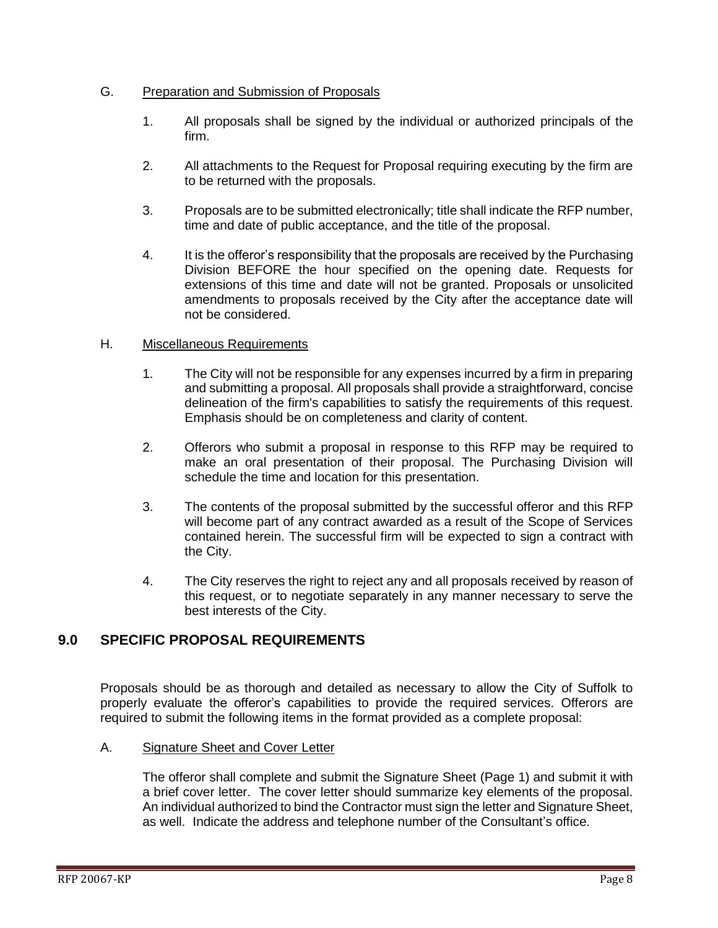#### G. Preparation and Submission of Proposals

- 1. All proposals shall be signed by the individual or authorized principals of the firm.
- 2. All attachments to the Request for Proposal requiring executing by the firm are to be returned with the proposals.
- 3. Proposals are to be submitted electronically; title shall indicate the RFP number, time and date of public acceptance, and the title of the proposal.
- 4. It is the offeror's responsibility that the proposals are received by the Purchasing Division BEFORE the hour specified on the opening date. Requests for extensions of this time and date will not be granted. Proposals or unsolicited amendments to proposals received by the City after the acceptance date will not be considered.

#### H. Miscellaneous Requirements

- 1. The City will not be responsible for any expenses incurred by a firm in preparing and submitting a proposal. All proposals shall provide a straightforward, concise delineation of the firm's capabilities to satisfy the requirements of this request. Emphasis should be on completeness and clarity of content.
- 2. Offerors who submit a proposal in response to this RFP may be required to make an oral presentation of their proposal. The Purchasing Division will schedule the time and location for this presentation.
- 3. The contents of the proposal submitted by the successful offeror and this RFP will become part of any contract awarded as a result of the Scope of Services contained herein. The successful firm will be expected to sign a contract with the City.
- 4. The City reserves the right to reject any and all proposals received by reason of this request, or to negotiate separately in any manner necessary to serve the best interests of the City.

## <span id="page-7-0"></span>**9.0 SPECIFIC PROPOSAL REQUIREMENTS**

Proposals should be as thorough and detailed as necessary to allow the City of Suffolk to properly evaluate the offeror's capabilities to provide the required services. Offerors are required to submit the following items in the format provided as a complete proposal:

#### A. Signature Sheet and Cover Letter

The offeror shall complete and submit the Signature Sheet (Page 1) and submit it with a brief cover letter. The cover letter should summarize key elements of the proposal. An individual authorized to bind the Contractor must sign the letter and Signature Sheet, as well. Indicate the address and telephone number of the Consultant's office.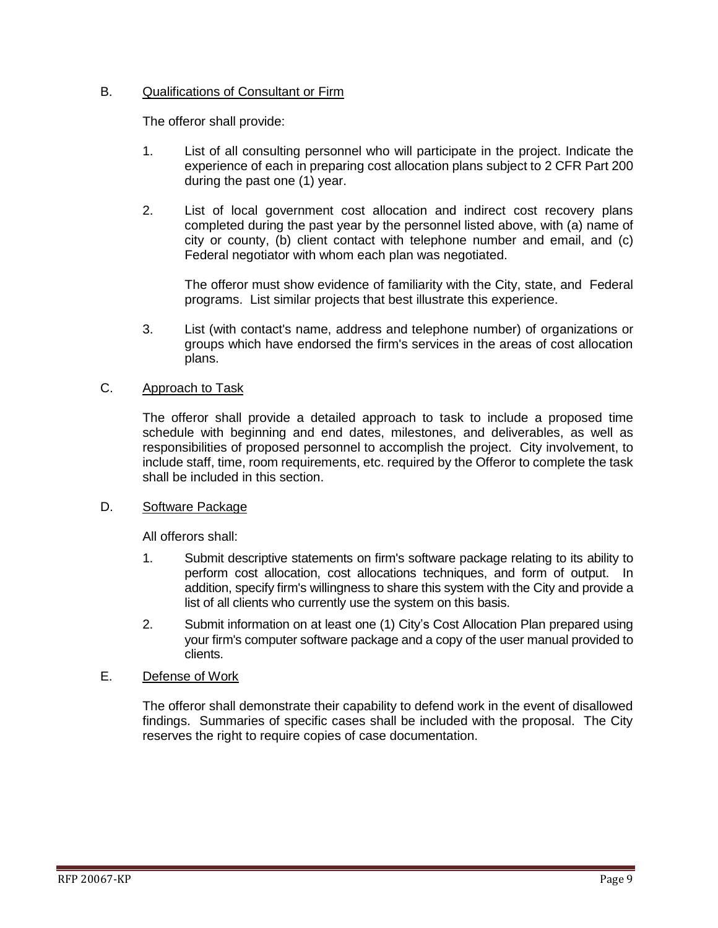#### B. Qualifications of Consultant or Firm

The offeror shall provide:

- 1. List of all consulting personnel who will participate in the project. Indicate the experience of each in preparing cost allocation plans subject to 2 CFR Part 200 during the past one (1) year.
- 2. List of local government cost allocation and indirect cost recovery plans completed during the past year by the personnel listed above, with (a) name of city or county, (b) client contact with telephone number and email, and (c) Federal negotiator with whom each plan was negotiated.

The offeror must show evidence of familiarity with the City, state, and Federal programs. List similar projects that best illustrate this experience.

3. List (with contact's name, address and telephone number) of organizations or groups which have endorsed the firm's services in the areas of cost allocation plans.

#### C. Approach to Task

The offeror shall provide a detailed approach to task to include a proposed time schedule with beginning and end dates, milestones, and deliverables, as well as responsibilities of proposed personnel to accomplish the project. City involvement, to include staff, time, room requirements, etc. required by the Offeror to complete the task shall be included in this section.

#### D. Software Package

All offerors shall:

- 1. Submit descriptive statements on firm's software package relating to its ability to perform cost allocation, cost allocations techniques, and form of output. In addition, specify firm's willingness to share this system with the City and provide a list of all clients who currently use the system on this basis.
- 2. Submit information on at least one (1) City's Cost Allocation Plan prepared using your firm's computer software package and a copy of the user manual provided to clients.

#### E. Defense of Work

The offeror shall demonstrate their capability to defend work in the event of disallowed findings. Summaries of specific cases shall be included with the proposal. The City reserves the right to require copies of case documentation.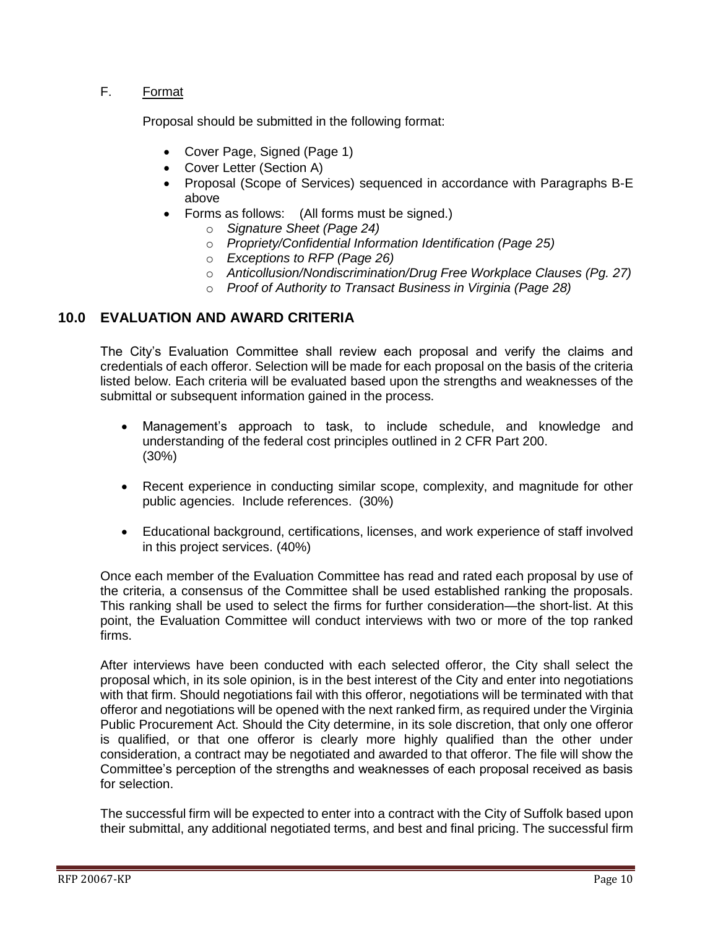#### F. Format

Proposal should be submitted in the following format:

- Cover Page, Signed (Page 1)
- Cover Letter (Section A)
- Proposal (Scope of Services) sequenced in accordance with Paragraphs B-E above
- Forms as follows: (All forms must be signed.)
	- o *Signature Sheet (Page 24)*
	- o *Propriety/Confidential Information Identification (Page 25)*
	- o *Exceptions to RFP (Page 26)*
	- o *Anticollusion/Nondiscrimination/Drug Free Workplace Clauses (Pg. 27)*
	- o *Proof of Authority to Transact Business in Virginia (Page 28)*

### <span id="page-9-0"></span>**10.0 EVALUATION AND AWARD CRITERIA**

The City's Evaluation Committee shall review each proposal and verify the claims and credentials of each offeror. Selection will be made for each proposal on the basis of the criteria listed below. Each criteria will be evaluated based upon the strengths and weaknesses of the submittal or subsequent information gained in the process.

- Management's approach to task, to include schedule, and knowledge and understanding of the federal cost principles outlined in 2 CFR Part 200. (30%)
- Recent experience in conducting similar scope, complexity, and magnitude for other public agencies. Include references. (30%)
- Educational background, certifications, licenses, and work experience of staff involved in this project services. (40%)

Once each member of the Evaluation Committee has read and rated each proposal by use of the criteria, a consensus of the Committee shall be used established ranking the proposals. This ranking shall be used to select the firms for further consideration—the short-list. At this point, the Evaluation Committee will conduct interviews with two or more of the top ranked firms.

After interviews have been conducted with each selected offeror, the City shall select the proposal which, in its sole opinion, is in the best interest of the City and enter into negotiations with that firm. Should negotiations fail with this offeror, negotiations will be terminated with that offeror and negotiations will be opened with the next ranked firm, as required under the Virginia Public Procurement Act. Should the City determine, in its sole discretion, that only one offeror is qualified, or that one offeror is clearly more highly qualified than the other under consideration, a contract may be negotiated and awarded to that offeror. The file will show the Committee's perception of the strengths and weaknesses of each proposal received as basis for selection.

The successful firm will be expected to enter into a contract with the City of Suffolk based upon their submittal, any additional negotiated terms, and best and final pricing. The successful firm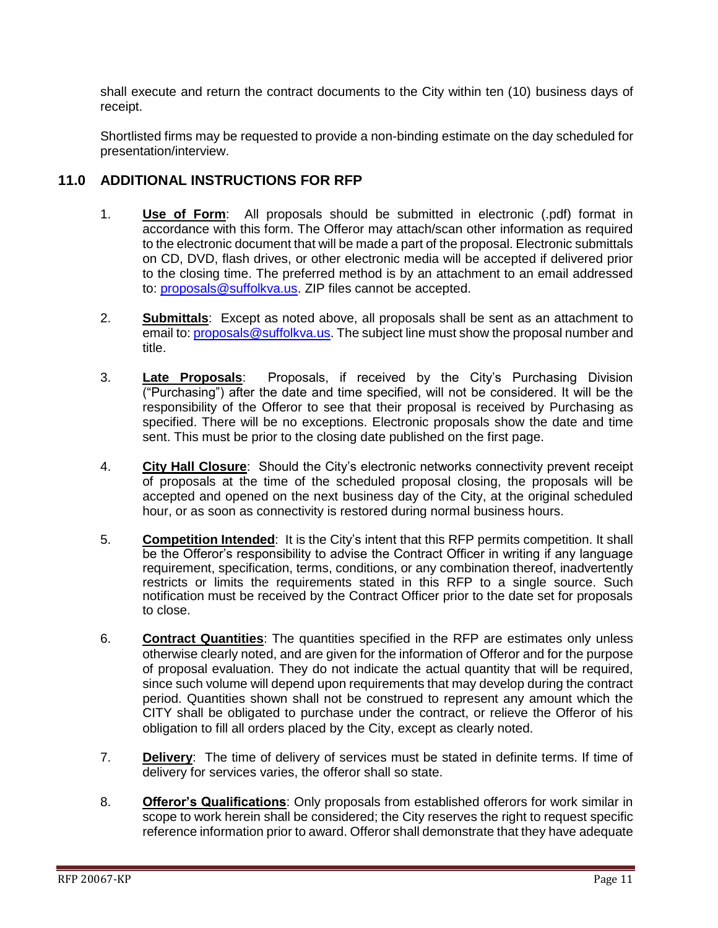shall execute and return the contract documents to the City within ten (10) business days of receipt.

Shortlisted firms may be requested to provide a non-binding estimate on the day scheduled for presentation/interview.

### <span id="page-10-0"></span>**11.0 ADDITIONAL INSTRUCTIONS FOR RFP**

- 1. **Use of Form**: All proposals should be submitted in electronic (.pdf) format in accordance with this form. The Offeror may attach/scan other information as required to the electronic document that will be made a part of the proposal. Electronic submittals on CD, DVD, flash drives, or other electronic media will be accepted if delivered prior to the closing time. The preferred method is by an attachment to an email addressed to: [proposals@suffolkva.us.](mailto:proposals@suffolkva.us) ZIP files cannot be accepted.
- 2. **Submittals**: Except as noted above, all proposals shall be sent as an attachment to email to: [proposals@suffolkva.us.](mailto:proposals@suffolkva.us) The subject line must show the proposal number and title.
- 3. **Late Proposals**: Proposals, if received by the City's Purchasing Division ("Purchasing") after the date and time specified, will not be considered. It will be the responsibility of the Offeror to see that their proposal is received by Purchasing as specified. There will be no exceptions. Electronic proposals show the date and time sent. This must be prior to the closing date published on the first page.
- 4. **City Hall Closure**: Should the City's electronic networks connectivity prevent receipt of proposals at the time of the scheduled proposal closing, the proposals will be accepted and opened on the next business day of the City, at the original scheduled hour, or as soon as connectivity is restored during normal business hours.
- 5. **Competition Intended**: It is the City's intent that this RFP permits competition. It shall be the Offeror's responsibility to advise the Contract Officer in writing if any language requirement, specification, terms, conditions, or any combination thereof, inadvertently restricts or limits the requirements stated in this RFP to a single source. Such notification must be received by the Contract Officer prior to the date set for proposals to close.
- 6. **Contract Quantities**: The quantities specified in the RFP are estimates only unless otherwise clearly noted, and are given for the information of Offeror and for the purpose of proposal evaluation. They do not indicate the actual quantity that will be required, since such volume will depend upon requirements that may develop during the contract period. Quantities shown shall not be construed to represent any amount which the CITY shall be obligated to purchase under the contract, or relieve the Offeror of his obligation to fill all orders placed by the City, except as clearly noted.
- 7. **Delivery**: The time of delivery of services must be stated in definite terms. If time of delivery for services varies, the offeror shall so state.
- 8. **Offeror's Qualifications**: Only proposals from established offerors for work similar in scope to work herein shall be considered; the City reserves the right to request specific reference information prior to award. Offeror shall demonstrate that they have adequate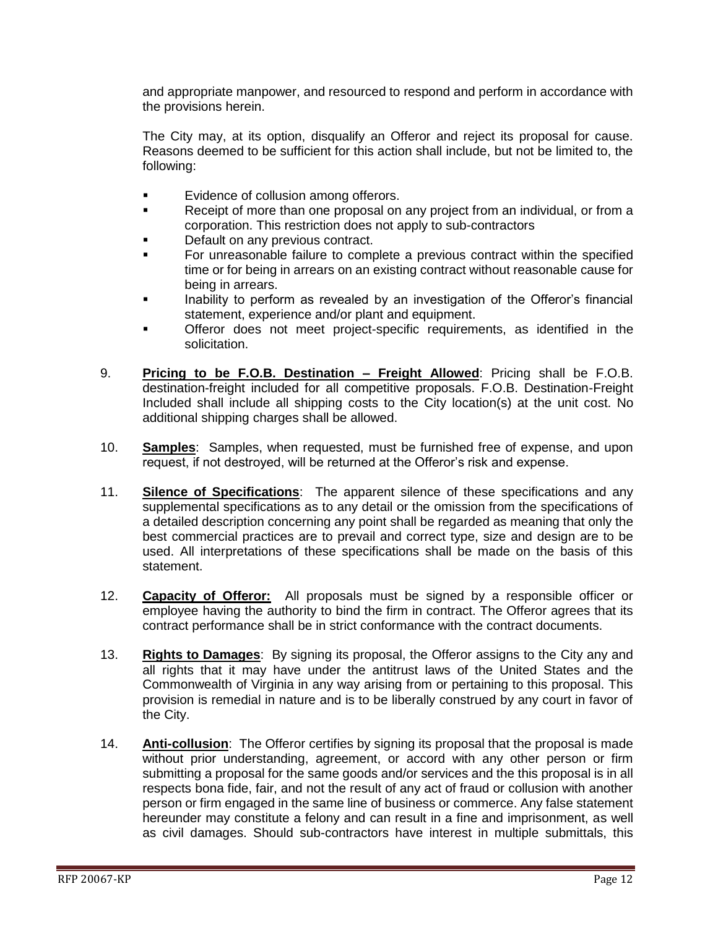and appropriate manpower, and resourced to respond and perform in accordance with the provisions herein.

The City may, at its option, disqualify an Offeror and reject its proposal for cause. Reasons deemed to be sufficient for this action shall include, but not be limited to, the following:

- **Example 1** Evidence of collusion among offerors.
- Receipt of more than one proposal on any project from an individual, or from a corporation. This restriction does not apply to sub-contractors
- Default on any previous contract.
- For unreasonable failure to complete a previous contract within the specified time or for being in arrears on an existing contract without reasonable cause for being in arrears.
- Inability to perform as revealed by an investigation of the Offeror's financial statement, experience and/or plant and equipment.
- Offeror does not meet project-specific requirements, as identified in the solicitation.
- 9. **Pricing to be F.O.B. Destination – Freight Allowed**: Pricing shall be F.O.B. destination-freight included for all competitive proposals. F.O.B. Destination-Freight Included shall include all shipping costs to the City location(s) at the unit cost. No additional shipping charges shall be allowed.
- 10. **Samples**: Samples, when requested, must be furnished free of expense, and upon request, if not destroyed, will be returned at the Offeror's risk and expense.
- 11. **Silence of Specifications**: The apparent silence of these specifications and any supplemental specifications as to any detail or the omission from the specifications of a detailed description concerning any point shall be regarded as meaning that only the best commercial practices are to prevail and correct type, size and design are to be used. All interpretations of these specifications shall be made on the basis of this statement.
- 12. **Capacity of Offeror:** All proposals must be signed by a responsible officer or employee having the authority to bind the firm in contract. The Offeror agrees that its contract performance shall be in strict conformance with the contract documents.
- 13. **Rights to Damages**: By signing its proposal, the Offeror assigns to the City any and all rights that it may have under the antitrust laws of the United States and the Commonwealth of Virginia in any way arising from or pertaining to this proposal. This provision is remedial in nature and is to be liberally construed by any court in favor of the City.
- 14. **Anti-collusion**: The Offeror certifies by signing its proposal that the proposal is made without prior understanding, agreement, or accord with any other person or firm submitting a proposal for the same goods and/or services and the this proposal is in all respects bona fide, fair, and not the result of any act of fraud or collusion with another person or firm engaged in the same line of business or commerce. Any false statement hereunder may constitute a felony and can result in a fine and imprisonment, as well as civil damages. Should sub-contractors have interest in multiple submittals, this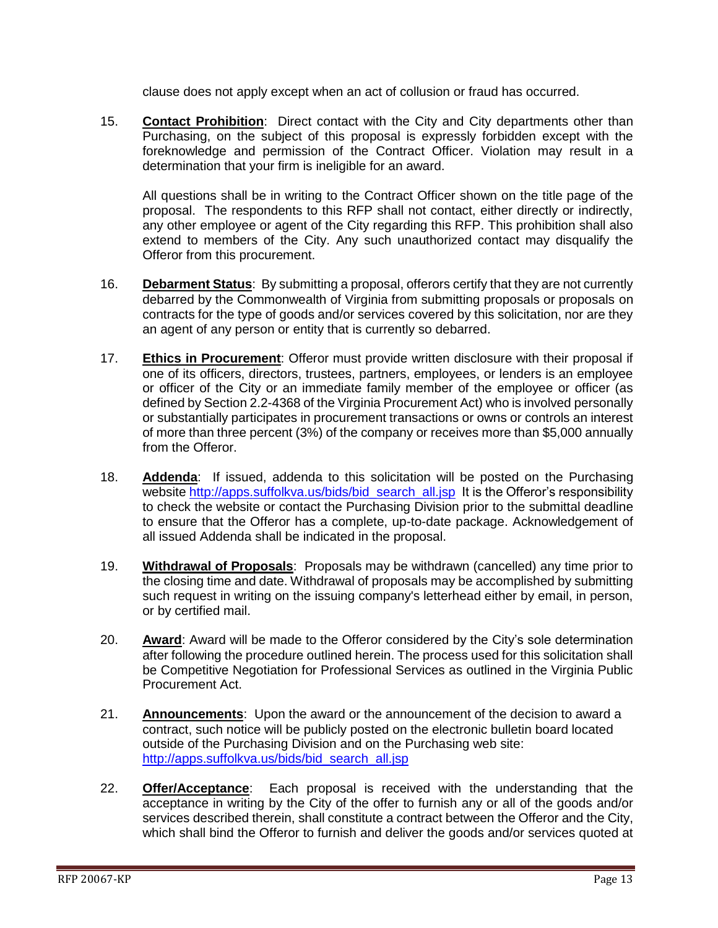clause does not apply except when an act of collusion or fraud has occurred.

15. **Contact Prohibition**: Direct contact with the City and City departments other than Purchasing, on the subject of this proposal is expressly forbidden except with the foreknowledge and permission of the Contract Officer. Violation may result in a determination that your firm is ineligible for an award.

All questions shall be in writing to the Contract Officer shown on the title page of the proposal. The respondents to this RFP shall not contact, either directly or indirectly, any other employee or agent of the City regarding this RFP. This prohibition shall also extend to members of the City. Any such unauthorized contact may disqualify the Offeror from this procurement.

- 16. **Debarment Status**: By submitting a proposal, offerors certify that they are not currently debarred by the Commonwealth of Virginia from submitting proposals or proposals on contracts for the type of goods and/or services covered by this solicitation, nor are they an agent of any person or entity that is currently so debarred.
- 17. **Ethics in Procurement**: Offeror must provide written disclosure with their proposal if one of its officers, directors, trustees, partners, employees, or lenders is an employee or officer of the City or an immediate family member of the employee or officer (as defined by Section 2.2-4368 of the Virginia Procurement Act) who is involved personally or substantially participates in procurement transactions or owns or controls an interest of more than three percent (3%) of the company or receives more than \$5,000 annually from the Offeror.
- 18. **Addenda**: If issued, addenda to this solicitation will be posted on the Purchasing website http://apps.suffolkva.us/bids/bid\_search\_all.jsp\_lt is the Offeror's responsibility to check the website or contact the Purchasing Division prior to the submittal deadline to ensure that the Offeror has a complete, up-to-date package. Acknowledgement of all issued Addenda shall be indicated in the proposal.
- 19. **Withdrawal of Proposals**: Proposals may be withdrawn (cancelled) any time prior to the closing time and date. Withdrawal of proposals may be accomplished by submitting such request in writing on the issuing company's letterhead either by email, in person, or by certified mail.
- 20. **Award**: Award will be made to the Offeror considered by the City's sole determination after following the procedure outlined herein. The process used for this solicitation shall be Competitive Negotiation for Professional Services as outlined in the Virginia Public Procurement Act.
- 21. **Announcements**: Upon the award or the announcement of the decision to award a contract, such notice will be publicly posted on the electronic bulletin board located outside of the Purchasing Division and on the Purchasing web site: [http://apps.suffolkva.us/bids/bid\\_search\\_all.jsp](http://apps.suffolkva.us/bids/bid_search_all.jsp)
- 22. **Offer/Acceptance**: Each proposal is received with the understanding that the acceptance in writing by the City of the offer to furnish any or all of the goods and/or services described therein, shall constitute a contract between the Offeror and the City, which shall bind the Offeror to furnish and deliver the goods and/or services quoted at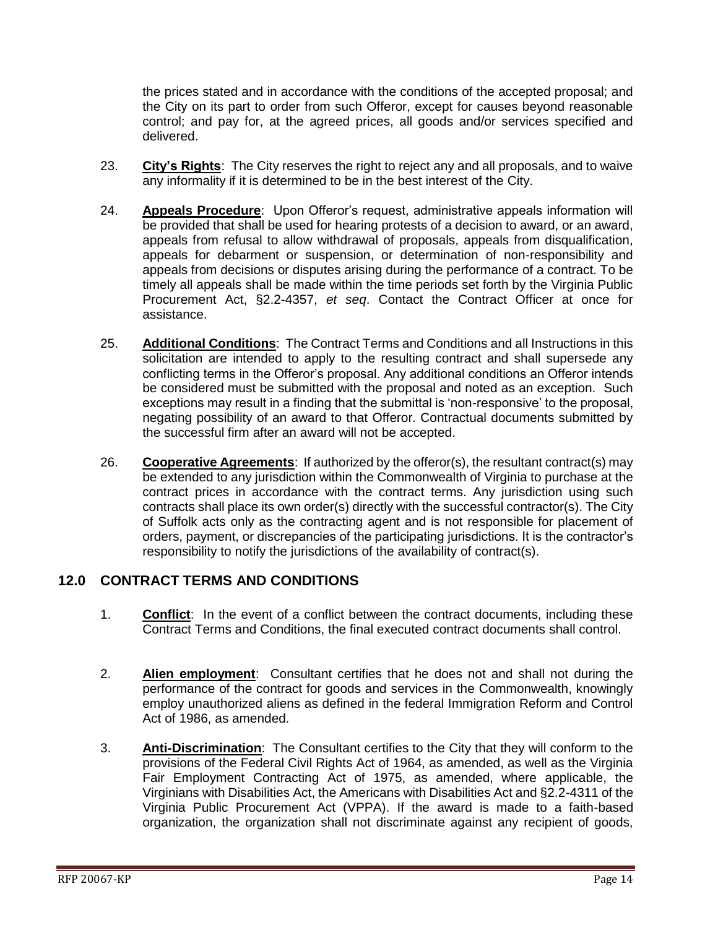the prices stated and in accordance with the conditions of the accepted proposal; and the City on its part to order from such Offeror, except for causes beyond reasonable control; and pay for, at the agreed prices, all goods and/or services specified and delivered.

- 23. **City's Rights**: The City reserves the right to reject any and all proposals, and to waive any informality if it is determined to be in the best interest of the City.
- 24. **Appeals Procedure**: Upon Offeror's request, administrative appeals information will be provided that shall be used for hearing protests of a decision to award, or an award, appeals from refusal to allow withdrawal of proposals, appeals from disqualification, appeals for debarment or suspension, or determination of non-responsibility and appeals from decisions or disputes arising during the performance of a contract. To be timely all appeals shall be made within the time periods set forth by the Virginia Public Procurement Act, §2.2-4357, *et seq*. Contact the Contract Officer at once for assistance.
- 25. **Additional Conditions**: The Contract Terms and Conditions and all Instructions in this solicitation are intended to apply to the resulting contract and shall supersede any conflicting terms in the Offeror's proposal. Any additional conditions an Offeror intends be considered must be submitted with the proposal and noted as an exception. Such exceptions may result in a finding that the submittal is 'non-responsive' to the proposal, negating possibility of an award to that Offeror. Contractual documents submitted by the successful firm after an award will not be accepted.
- 26. **Cooperative Agreements**: If authorized by the offeror(s), the resultant contract(s) may be extended to any jurisdiction within the Commonwealth of Virginia to purchase at the contract prices in accordance with the contract terms. Any jurisdiction using such contracts shall place its own order(s) directly with the successful contractor(s). The City of Suffolk acts only as the contracting agent and is not responsible for placement of orders, payment, or discrepancies of the participating jurisdictions. It is the contractor's responsibility to notify the jurisdictions of the availability of contract(s).

## <span id="page-13-0"></span>**12.0 CONTRACT TERMS AND CONDITIONS**

- 1. **Conflict**: In the event of a conflict between the contract documents, including these Contract Terms and Conditions, the final executed contract documents shall control.
- 2. **Alien employment**: Consultant certifies that he does not and shall not during the performance of the contract for goods and services in the Commonwealth, knowingly employ unauthorized aliens as defined in the federal Immigration Reform and Control Act of 1986, as amended.
- 3. **Anti-Discrimination**: The Consultant certifies to the City that they will conform to the provisions of the Federal Civil Rights Act of 1964, as amended, as well as the Virginia Fair Employment Contracting Act of 1975, as amended, where applicable, the Virginians with Disabilities Act, the Americans with Disabilities Act and §2.2-4311 of the Virginia Public Procurement Act (VPPA). If the award is made to a faith-based organization, the organization shall not discriminate against any recipient of goods,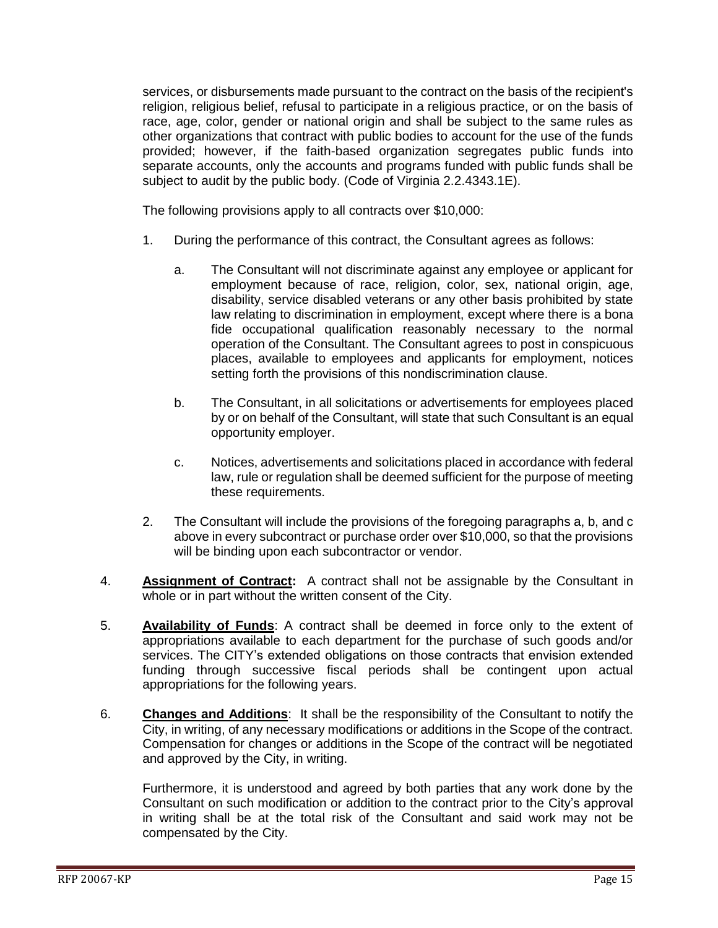services, or disbursements made pursuant to the contract on the basis of the recipient's religion, religious belief, refusal to participate in a religious practice, or on the basis of race, age, color, gender or national origin and shall be subject to the same rules as other organizations that contract with public bodies to account for the use of the funds provided; however, if the faith-based organization segregates public funds into separate accounts, only the accounts and programs funded with public funds shall be subject to audit by the public body. (Code of Virginia 2.2.4343.1E).

The following provisions apply to all contracts over \$10,000:

- 1. During the performance of this contract, the Consultant agrees as follows:
	- a. The Consultant will not discriminate against any employee or applicant for employment because of race, religion, color, sex, national origin, age, disability, service disabled veterans or any other basis prohibited by state law relating to discrimination in employment, except where there is a bona fide occupational qualification reasonably necessary to the normal operation of the Consultant. The Consultant agrees to post in conspicuous places, available to employees and applicants for employment, notices setting forth the provisions of this nondiscrimination clause.
	- b. The Consultant, in all solicitations or advertisements for employees placed by or on behalf of the Consultant, will state that such Consultant is an equal opportunity employer.
	- c. Notices, advertisements and solicitations placed in accordance with federal law, rule or regulation shall be deemed sufficient for the purpose of meeting these requirements.
- 2. The Consultant will include the provisions of the foregoing paragraphs a, b, and c above in every subcontract or purchase order over \$10,000, so that the provisions will be binding upon each subcontractor or vendor.
- 4. **Assignment of Contract:** A contract shall not be assignable by the Consultant in whole or in part without the written consent of the City.
- 5. **Availability of Funds**: A contract shall be deemed in force only to the extent of appropriations available to each department for the purchase of such goods and/or services. The CITY's extended obligations on those contracts that envision extended funding through successive fiscal periods shall be contingent upon actual appropriations for the following years.
- 6. **Changes and Additions**: It shall be the responsibility of the Consultant to notify the City, in writing, of any necessary modifications or additions in the Scope of the contract. Compensation for changes or additions in the Scope of the contract will be negotiated and approved by the City, in writing.

Furthermore, it is understood and agreed by both parties that any work done by the Consultant on such modification or addition to the contract prior to the City's approval in writing shall be at the total risk of the Consultant and said work may not be compensated by the City.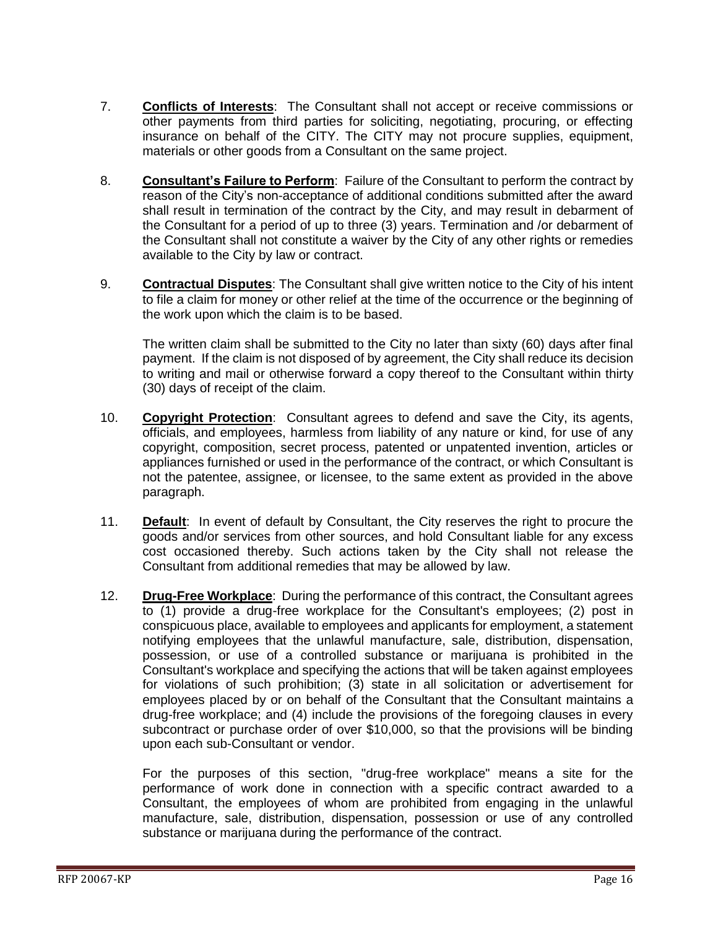- 7. **Conflicts of Interests**: The Consultant shall not accept or receive commissions or other payments from third parties for soliciting, negotiating, procuring, or effecting insurance on behalf of the CITY. The CITY may not procure supplies, equipment, materials or other goods from a Consultant on the same project.
- 8. **Consultant's Failure to Perform**: Failure of the Consultant to perform the contract by reason of the City's non-acceptance of additional conditions submitted after the award shall result in termination of the contract by the City, and may result in debarment of the Consultant for a period of up to three (3) years. Termination and /or debarment of the Consultant shall not constitute a waiver by the City of any other rights or remedies available to the City by law or contract.
- 9. **Contractual Disputes**: The Consultant shall give written notice to the City of his intent to file a claim for money or other relief at the time of the occurrence or the beginning of the work upon which the claim is to be based.

The written claim shall be submitted to the City no later than sixty (60) days after final payment. If the claim is not disposed of by agreement, the City shall reduce its decision to writing and mail or otherwise forward a copy thereof to the Consultant within thirty (30) days of receipt of the claim.

- 10. **Copyright Protection**: Consultant agrees to defend and save the City, its agents, officials, and employees, harmless from liability of any nature or kind, for use of any copyright, composition, secret process, patented or unpatented invention, articles or appliances furnished or used in the performance of the contract, or which Consultant is not the patentee, assignee, or licensee, to the same extent as provided in the above paragraph.
- 11. **Default**: In event of default by Consultant, the City reserves the right to procure the goods and/or services from other sources, and hold Consultant liable for any excess cost occasioned thereby. Such actions taken by the City shall not release the Consultant from additional remedies that may be allowed by law.
- 12. **Drug-Free Workplace**: During the performance of this contract, the Consultant agrees to (1) provide a drug-free workplace for the Consultant's employees; (2) post in conspicuous place, available to employees and applicants for employment, a statement notifying employees that the unlawful manufacture, sale, distribution, dispensation, possession, or use of a controlled substance or marijuana is prohibited in the Consultant's workplace and specifying the actions that will be taken against employees for violations of such prohibition; (3) state in all solicitation or advertisement for employees placed by or on behalf of the Consultant that the Consultant maintains a drug-free workplace; and (4) include the provisions of the foregoing clauses in every subcontract or purchase order of over \$10,000, so that the provisions will be binding upon each sub-Consultant or vendor.

For the purposes of this section, "drug-free workplace" means a site for the performance of work done in connection with a specific contract awarded to a Consultant, the employees of whom are prohibited from engaging in the unlawful manufacture, sale, distribution, dispensation, possession or use of any controlled substance or marijuana during the performance of the contract.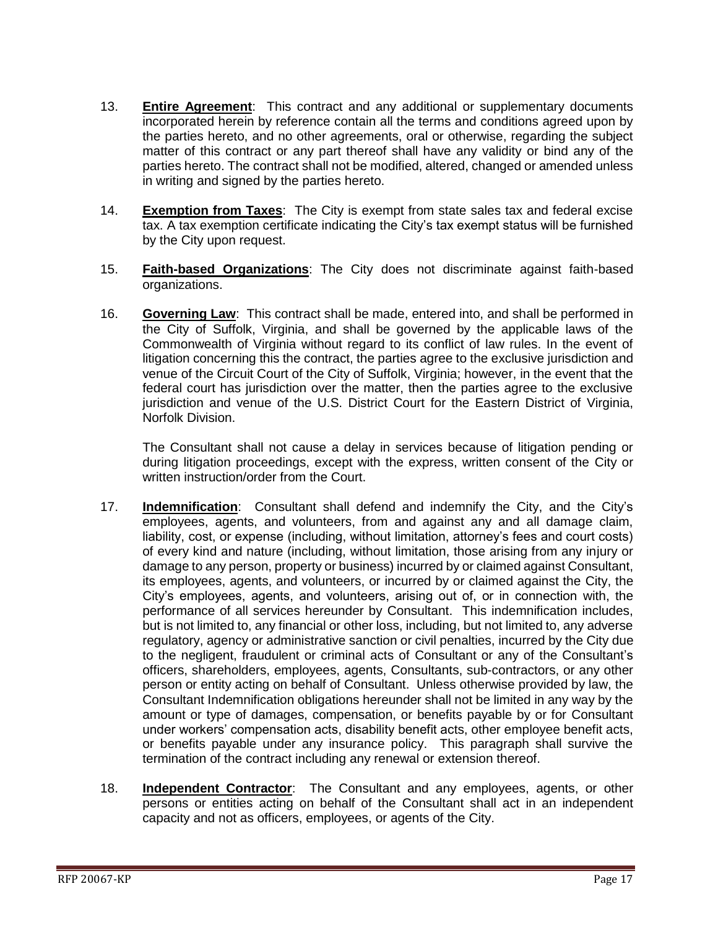- 13. **Entire Agreement**: This contract and any additional or supplementary documents incorporated herein by reference contain all the terms and conditions agreed upon by the parties hereto, and no other agreements, oral or otherwise, regarding the subject matter of this contract or any part thereof shall have any validity or bind any of the parties hereto. The contract shall not be modified, altered, changed or amended unless in writing and signed by the parties hereto.
- 14. **Exemption from Taxes**: The City is exempt from state sales tax and federal excise tax. A tax exemption certificate indicating the City's tax exempt status will be furnished by the City upon request.
- 15. **Faith-based Organizations**: The City does not discriminate against faith-based organizations.
- 16. **Governing Law**: This contract shall be made, entered into, and shall be performed in the City of Suffolk, Virginia, and shall be governed by the applicable laws of the Commonwealth of Virginia without regard to its conflict of law rules. In the event of litigation concerning this the contract, the parties agree to the exclusive jurisdiction and venue of the Circuit Court of the City of Suffolk, Virginia; however, in the event that the federal court has jurisdiction over the matter, then the parties agree to the exclusive jurisdiction and venue of the U.S. District Court for the Eastern District of Virginia, Norfolk Division.

The Consultant shall not cause a delay in services because of litigation pending or during litigation proceedings, except with the express, written consent of the City or written instruction/order from the Court.

- 17. **Indemnification**: Consultant shall defend and indemnify the City, and the City's employees, agents, and volunteers, from and against any and all damage claim, liability, cost, or expense (including, without limitation, attorney's fees and court costs) of every kind and nature (including, without limitation, those arising from any injury or damage to any person, property or business) incurred by or claimed against Consultant, its employees, agents, and volunteers, or incurred by or claimed against the City, the City's employees, agents, and volunteers, arising out of, or in connection with, the performance of all services hereunder by Consultant. This indemnification includes, but is not limited to, any financial or other loss, including, but not limited to, any adverse regulatory, agency or administrative sanction or civil penalties, incurred by the City due to the negligent, fraudulent or criminal acts of Consultant or any of the Consultant's officers, shareholders, employees, agents, Consultants, sub-contractors, or any other person or entity acting on behalf of Consultant. Unless otherwise provided by law, the Consultant Indemnification obligations hereunder shall not be limited in any way by the amount or type of damages, compensation, or benefits payable by or for Consultant under workers' compensation acts, disability benefit acts, other employee benefit acts, or benefits payable under any insurance policy. This paragraph shall survive the termination of the contract including any renewal or extension thereof.
- 18. **Independent Contractor**: The Consultant and any employees, agents, or other persons or entities acting on behalf of the Consultant shall act in an independent capacity and not as officers, employees, or agents of the City.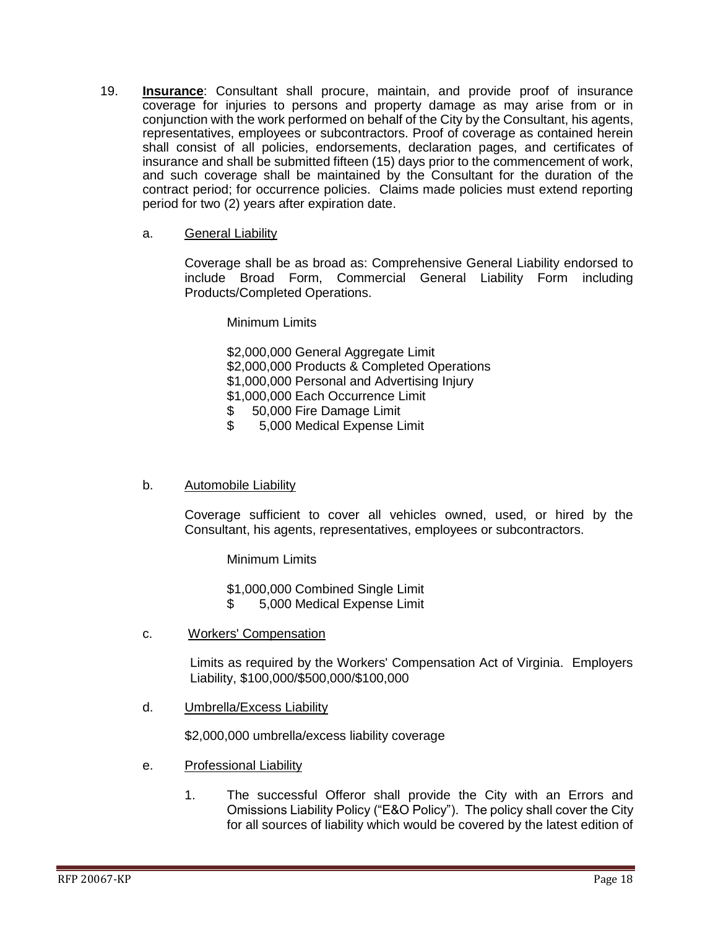- 19. **Insurance**: Consultant shall procure, maintain, and provide proof of insurance coverage for injuries to persons and property damage as may arise from or in conjunction with the work performed on behalf of the City by the Consultant, his agents, representatives, employees or subcontractors. Proof of coverage as contained herein shall consist of all policies, endorsements, declaration pages, and certificates of insurance and shall be submitted fifteen (15) days prior to the commencement of work, and such coverage shall be maintained by the Consultant for the duration of the contract period; for occurrence policies. Claims made policies must extend reporting period for two (2) years after expiration date.
	- a. General Liability

Coverage shall be as broad as: Comprehensive General Liability endorsed to include Broad Form, Commercial General Liability Form including Products/Completed Operations.

#### Minimum Limits

\$2,000,000 General Aggregate Limit \$2,000,000 Products & Completed Operations \$1,000,000 Personal and Advertising Injury \$1,000,000 Each Occurrence Limit \$ 50,000 Fire Damage Limit

- 
- \$ 5,000 Medical Expense Limit

#### b. Automobile Liability

Coverage sufficient to cover all vehicles owned, used, or hired by the Consultant, his agents, representatives, employees or subcontractors.

Minimum Limits

\$1,000,000 Combined Single Limit

- \$ 5,000 Medical Expense Limit
- c. Workers' Compensation

Limits as required by the Workers' Compensation Act of Virginia. Employers Liability, \$100,000/\$500,000/\$100,000

d. Umbrella/Excess Liability

\$2,000,000 umbrella/excess liability coverage

- e. Professional Liability
	- 1. The successful Offeror shall provide the City with an Errors and Omissions Liability Policy ("E&O Policy"). The policy shall cover the City for all sources of liability which would be covered by the latest edition of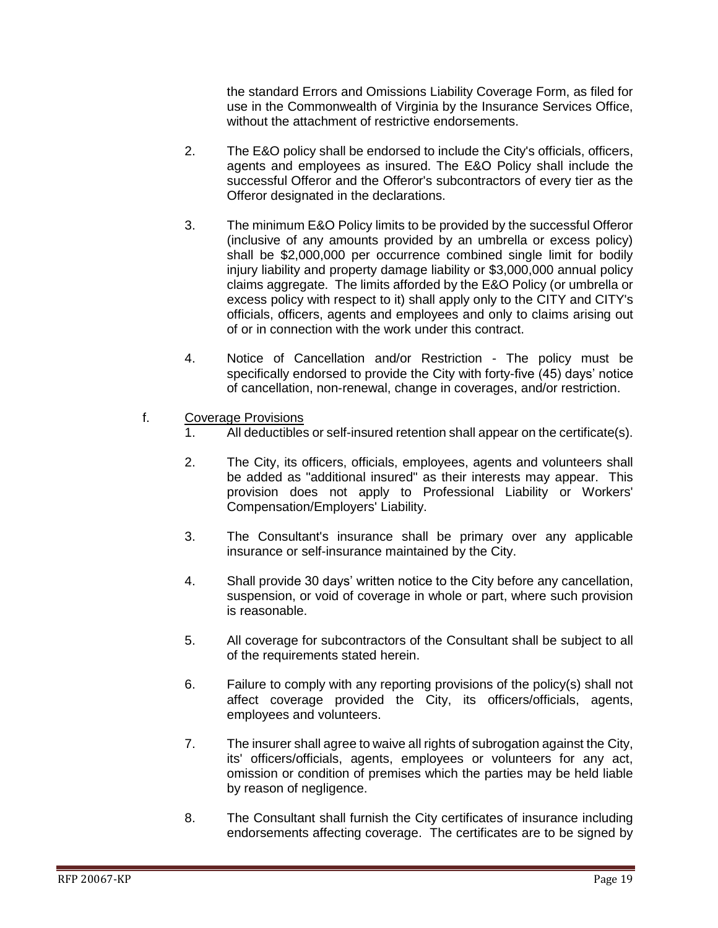the standard Errors and Omissions Liability Coverage Form, as filed for use in the Commonwealth of Virginia by the Insurance Services Office, without the attachment of restrictive endorsements.

- 2. The E&O policy shall be endorsed to include the City's officials, officers, agents and employees as insured. The E&O Policy shall include the successful Offeror and the Offeror's subcontractors of every tier as the Offeror designated in the declarations.
- 3. The minimum E&O Policy limits to be provided by the successful Offeror (inclusive of any amounts provided by an umbrella or excess policy) shall be \$2,000,000 per occurrence combined single limit for bodily injury liability and property damage liability or \$3,000,000 annual policy claims aggregate. The limits afforded by the E&O Policy (or umbrella or excess policy with respect to it) shall apply only to the CITY and CITY's officials, officers, agents and employees and only to claims arising out of or in connection with the work under this contract.
- 4. Notice of Cancellation and/or Restriction The policy must be specifically endorsed to provide the City with forty-five (45) days' notice of cancellation, non-renewal, change in coverages, and/or restriction.
- f. Coverage Provisions
	- 1. All deductibles or self-insured retention shall appear on the certificate(s).
	- 2. The City, its officers, officials, employees, agents and volunteers shall be added as "additional insured" as their interests may appear. This provision does not apply to Professional Liability or Workers' Compensation/Employers' Liability.
	- 3. The Consultant's insurance shall be primary over any applicable insurance or self-insurance maintained by the City.
	- 4. Shall provide 30 days' written notice to the City before any cancellation, suspension, or void of coverage in whole or part, where such provision is reasonable.
	- 5. All coverage for subcontractors of the Consultant shall be subject to all of the requirements stated herein.
	- 6. Failure to comply with any reporting provisions of the policy(s) shall not affect coverage provided the City, its officers/officials, agents, employees and volunteers.
	- 7. The insurer shall agree to waive all rights of subrogation against the City, its' officers/officials, agents, employees or volunteers for any act, omission or condition of premises which the parties may be held liable by reason of negligence.
	- 8. The Consultant shall furnish the City certificates of insurance including endorsements affecting coverage. The certificates are to be signed by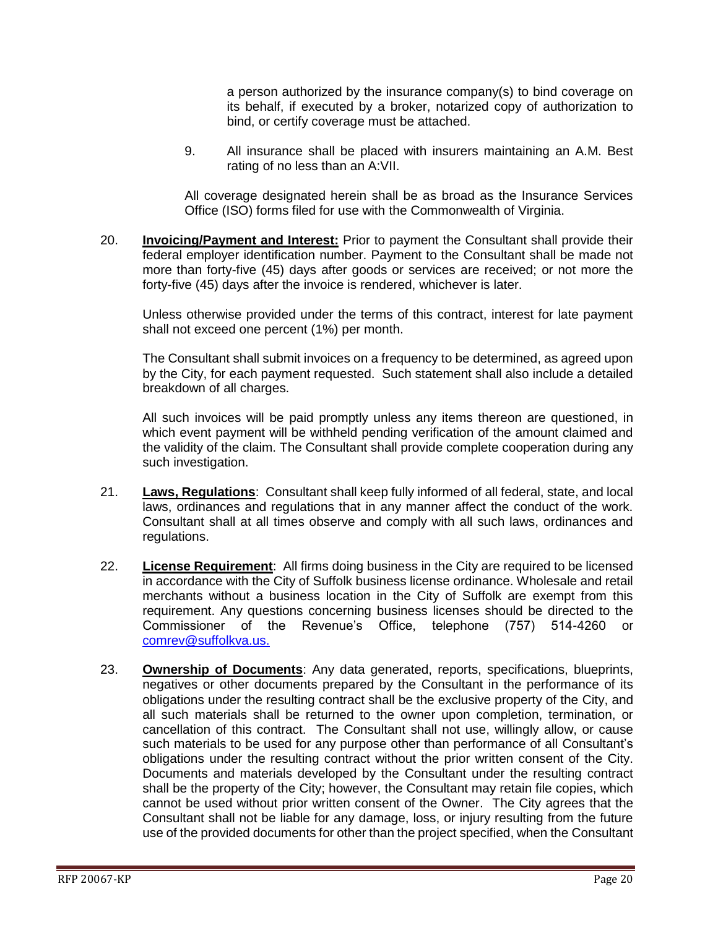a person authorized by the insurance company(s) to bind coverage on its behalf, if executed by a broker, notarized copy of authorization to bind, or certify coverage must be attached.

9. All insurance shall be placed with insurers maintaining an A.M. Best rating of no less than an A:VII.

All coverage designated herein shall be as broad as the Insurance Services Office (ISO) forms filed for use with the Commonwealth of Virginia.

20. **Invoicing/Payment and Interest:** Prior to payment the Consultant shall provide their federal employer identification number. Payment to the Consultant shall be made not more than forty-five (45) days after goods or services are received; or not more the forty-five (45) days after the invoice is rendered, whichever is later.

Unless otherwise provided under the terms of this contract, interest for late payment shall not exceed one percent (1%) per month.

The Consultant shall submit invoices on a frequency to be determined, as agreed upon by the City, for each payment requested. Such statement shall also include a detailed breakdown of all charges.

All such invoices will be paid promptly unless any items thereon are questioned, in which event payment will be withheld pending verification of the amount claimed and the validity of the claim. The Consultant shall provide complete cooperation during any such investigation.

- 21. **Laws, Regulations**: Consultant shall keep fully informed of all federal, state, and local laws, ordinances and regulations that in any manner affect the conduct of the work. Consultant shall at all times observe and comply with all such laws, ordinances and regulations.
- 22. **License Requirement**: All firms doing business in the City are required to be licensed in accordance with the City of Suffolk business license ordinance. Wholesale and retail merchants without a business location in the City of Suffolk are exempt from this requirement. Any questions concerning business licenses should be directed to the Commissioner of the Revenue's Office, telephone (757) 514-4260 or [comrev@suffolkva.us.](mailto:comrev@suffolkva.us)
- 23. **Ownership of Documents**: Any data generated, reports, specifications, blueprints, negatives or other documents prepared by the Consultant in the performance of its obligations under the resulting contract shall be the exclusive property of the City, and all such materials shall be returned to the owner upon completion, termination, or cancellation of this contract. The Consultant shall not use, willingly allow, or cause such materials to be used for any purpose other than performance of all Consultant's obligations under the resulting contract without the prior written consent of the City. Documents and materials developed by the Consultant under the resulting contract shall be the property of the City; however, the Consultant may retain file copies, which cannot be used without prior written consent of the Owner. The City agrees that the Consultant shall not be liable for any damage, loss, or injury resulting from the future use of the provided documents for other than the project specified, when the Consultant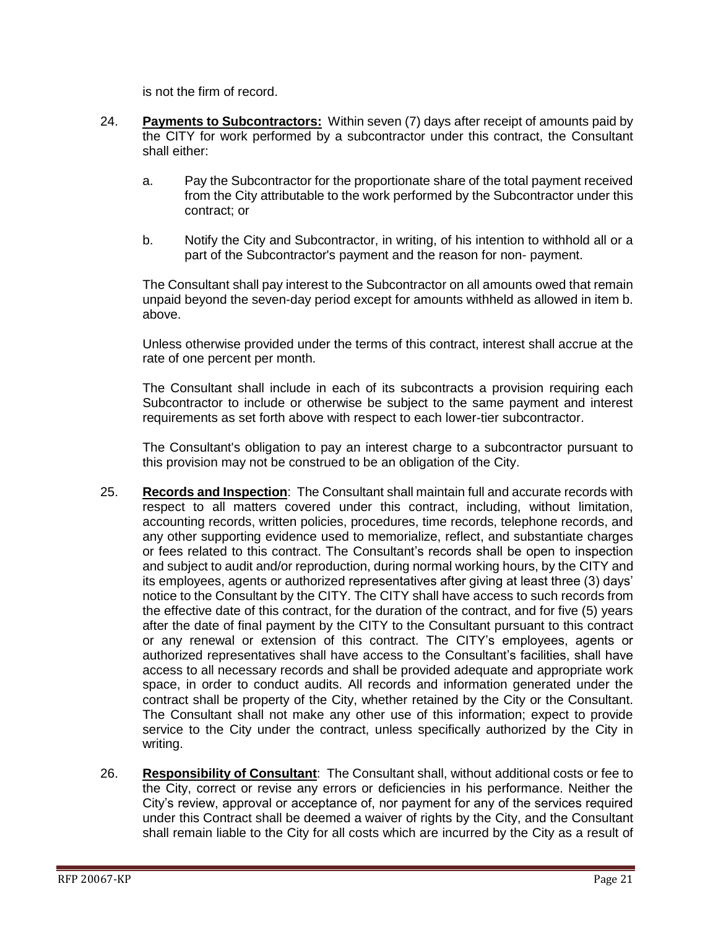is not the firm of record.

- 24. **Payments to Subcontractors:** Within seven (7) days after receipt of amounts paid by the CITY for work performed by a subcontractor under this contract, the Consultant shall either:
	- a. Pay the Subcontractor for the proportionate share of the total payment received from the City attributable to the work performed by the Subcontractor under this contract; or
	- b. Notify the City and Subcontractor, in writing, of his intention to withhold all or a part of the Subcontractor's payment and the reason for non- payment.

The Consultant shall pay interest to the Subcontractor on all amounts owed that remain unpaid beyond the seven-day period except for amounts withheld as allowed in item b. above.

Unless otherwise provided under the terms of this contract, interest shall accrue at the rate of one percent per month.

The Consultant shall include in each of its subcontracts a provision requiring each Subcontractor to include or otherwise be subject to the same payment and interest requirements as set forth above with respect to each lower-tier subcontractor.

The Consultant's obligation to pay an interest charge to a subcontractor pursuant to this provision may not be construed to be an obligation of the City.

- 25. **Records and Inspection**: The Consultant shall maintain full and accurate records with respect to all matters covered under this contract, including, without limitation, accounting records, written policies, procedures, time records, telephone records, and any other supporting evidence used to memorialize, reflect, and substantiate charges or fees related to this contract. The Consultant's records shall be open to inspection and subject to audit and/or reproduction, during normal working hours, by the CITY and its employees, agents or authorized representatives after giving at least three (3) days' notice to the Consultant by the CITY. The CITY shall have access to such records from the effective date of this contract, for the duration of the contract, and for five (5) years after the date of final payment by the CITY to the Consultant pursuant to this contract or any renewal or extension of this contract. The CITY's employees, agents or authorized representatives shall have access to the Consultant's facilities, shall have access to all necessary records and shall be provided adequate and appropriate work space, in order to conduct audits. All records and information generated under the contract shall be property of the City, whether retained by the City or the Consultant. The Consultant shall not make any other use of this information; expect to provide service to the City under the contract, unless specifically authorized by the City in writing.
- 26. **Responsibility of Consultant**: The Consultant shall, without additional costs or fee to the City, correct or revise any errors or deficiencies in his performance. Neither the City's review, approval or acceptance of, nor payment for any of the services required under this Contract shall be deemed a waiver of rights by the City, and the Consultant shall remain liable to the City for all costs which are incurred by the City as a result of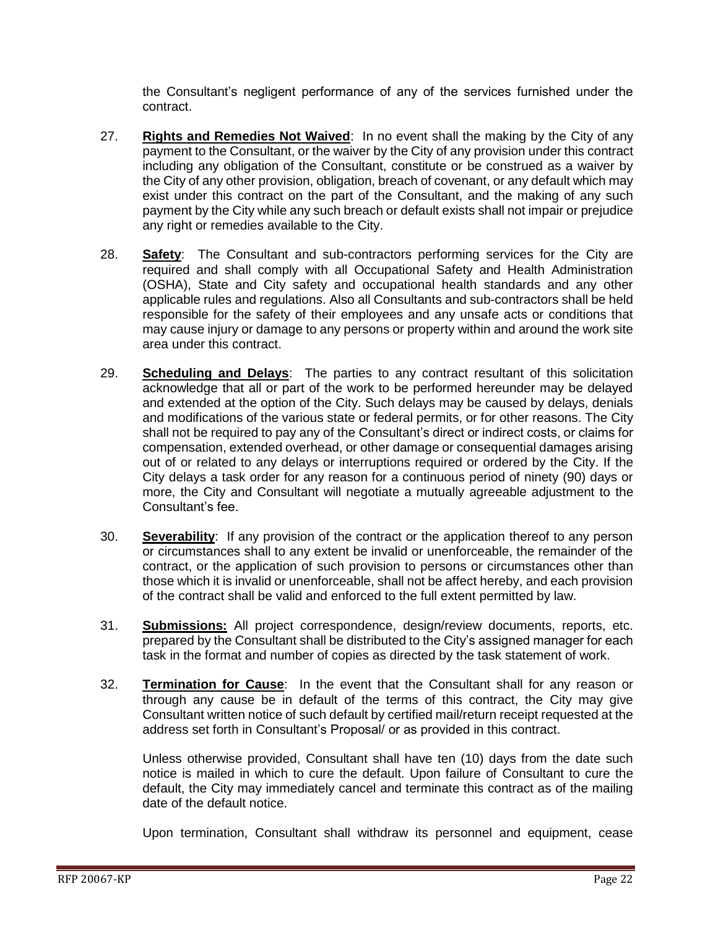the Consultant's negligent performance of any of the services furnished under the contract.

- 27. **Rights and Remedies Not Waived**: In no event shall the making by the City of any payment to the Consultant, or the waiver by the City of any provision under this contract including any obligation of the Consultant, constitute or be construed as a waiver by the City of any other provision, obligation, breach of covenant, or any default which may exist under this contract on the part of the Consultant, and the making of any such payment by the City while any such breach or default exists shall not impair or prejudice any right or remedies available to the City.
- 28. **Safety**: The Consultant and sub-contractors performing services for the City are required and shall comply with all Occupational Safety and Health Administration (OSHA), State and City safety and occupational health standards and any other applicable rules and regulations. Also all Consultants and sub-contractors shall be held responsible for the safety of their employees and any unsafe acts or conditions that may cause injury or damage to any persons or property within and around the work site area under this contract.
- 29. **Scheduling and Delays**: The parties to any contract resultant of this solicitation acknowledge that all or part of the work to be performed hereunder may be delayed and extended at the option of the City. Such delays may be caused by delays, denials and modifications of the various state or federal permits, or for other reasons. The City shall not be required to pay any of the Consultant's direct or indirect costs, or claims for compensation, extended overhead, or other damage or consequential damages arising out of or related to any delays or interruptions required or ordered by the City. If the City delays a task order for any reason for a continuous period of ninety (90) days or more, the City and Consultant will negotiate a mutually agreeable adjustment to the Consultant's fee.
- 30. **Severability**: If any provision of the contract or the application thereof to any person or circumstances shall to any extent be invalid or unenforceable, the remainder of the contract, or the application of such provision to persons or circumstances other than those which it is invalid or unenforceable, shall not be affect hereby, and each provision of the contract shall be valid and enforced to the full extent permitted by law.
- 31. **Submissions:** All project correspondence, design/review documents, reports, etc. prepared by the Consultant shall be distributed to the City's assigned manager for each task in the format and number of copies as directed by the task statement of work.
- 32. **Termination for Cause**: In the event that the Consultant shall for any reason or through any cause be in default of the terms of this contract, the City may give Consultant written notice of such default by certified mail/return receipt requested at the address set forth in Consultant's Proposal/ or as provided in this contract.

Unless otherwise provided, Consultant shall have ten (10) days from the date such notice is mailed in which to cure the default. Upon failure of Consultant to cure the default, the City may immediately cancel and terminate this contract as of the mailing date of the default notice.

Upon termination, Consultant shall withdraw its personnel and equipment, cease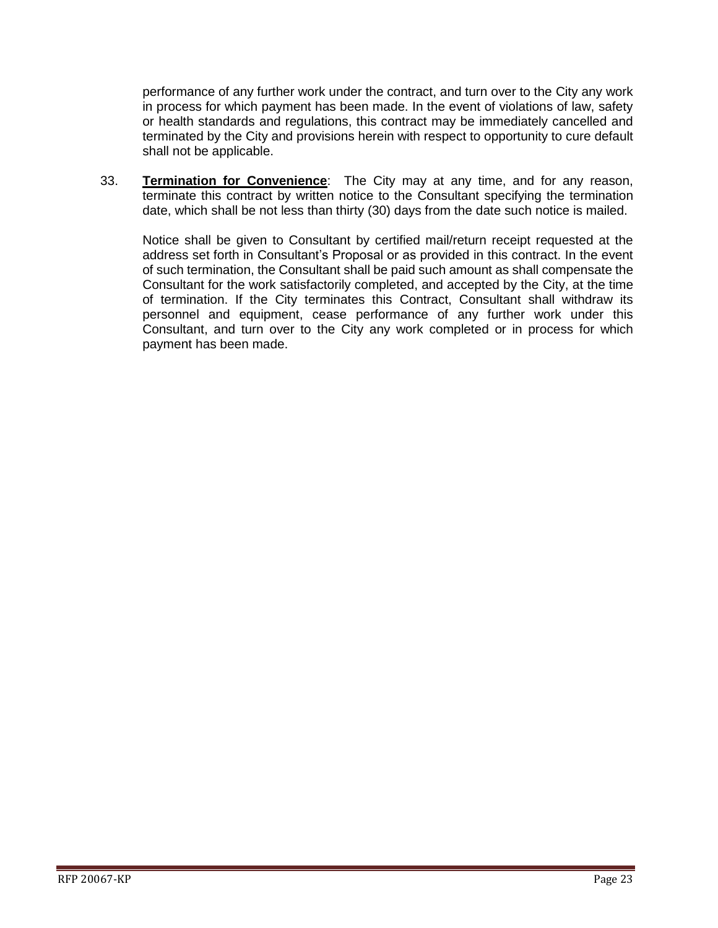performance of any further work under the contract, and turn over to the City any work in process for which payment has been made. In the event of violations of law, safety or health standards and regulations, this contract may be immediately cancelled and terminated by the City and provisions herein with respect to opportunity to cure default shall not be applicable.

33. **Termination for Convenience**: The City may at any time, and for any reason, terminate this contract by written notice to the Consultant specifying the termination date, which shall be not less than thirty (30) days from the date such notice is mailed.

Notice shall be given to Consultant by certified mail/return receipt requested at the address set forth in Consultant's Proposal or as provided in this contract. In the event of such termination, the Consultant shall be paid such amount as shall compensate the Consultant for the work satisfactorily completed, and accepted by the City, at the time of termination. If the City terminates this Contract, Consultant shall withdraw its personnel and equipment, cease performance of any further work under this Consultant, and turn over to the City any work completed or in process for which payment has been made.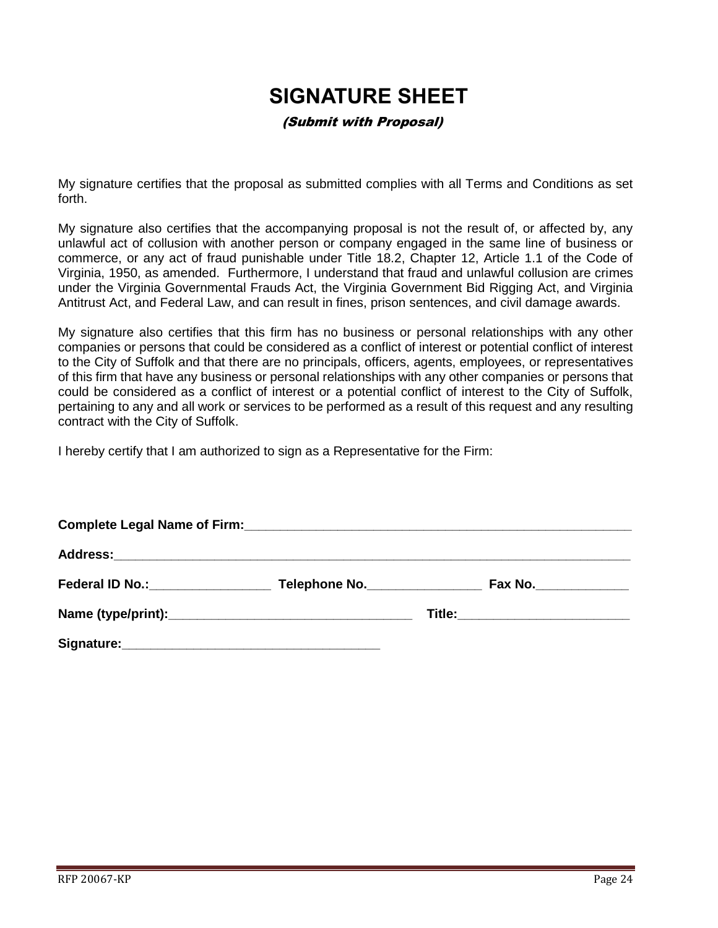## **SIGNATURE SHEET**

#### (Submit with Proposal)

<span id="page-23-0"></span>My signature certifies that the proposal as submitted complies with all Terms and Conditions as set forth.

My signature also certifies that the accompanying proposal is not the result of, or affected by, any unlawful act of collusion with another person or company engaged in the same line of business or commerce, or any act of fraud punishable under Title 18.2, Chapter 12, Article 1.1 of the Code of Virginia, 1950, as amended. Furthermore, I understand that fraud and unlawful collusion are crimes under the Virginia Governmental Frauds Act, the Virginia Government Bid Rigging Act, and Virginia Antitrust Act, and Federal Law, and can result in fines, prison sentences, and civil damage awards.

My signature also certifies that this firm has no business or personal relationships with any other companies or persons that could be considered as a conflict of interest or potential conflict of interest to the City of Suffolk and that there are no principals, officers, agents, employees, or representatives of this firm that have any business or personal relationships with any other companies or persons that could be considered as a conflict of interest or a potential conflict of interest to the City of Suffolk, pertaining to any and all work or services to be performed as a result of this request and any resulting contract with the City of Suffolk.

I hereby certify that I am authorized to sign as a Representative for the Firm:

| Federal ID No.: No.: Note that the set of the set of the set of the set of the set of the set of the set of the set of the set of the set of the set of the set of the set of the set of the set of the set of the set of the | Telephone No. | Fax No._______________             |  |  |  |
|-------------------------------------------------------------------------------------------------------------------------------------------------------------------------------------------------------------------------------|---------------|------------------------------------|--|--|--|
|                                                                                                                                                                                                                               |               | Title:____________________________ |  |  |  |
|                                                                                                                                                                                                                               |               |                                    |  |  |  |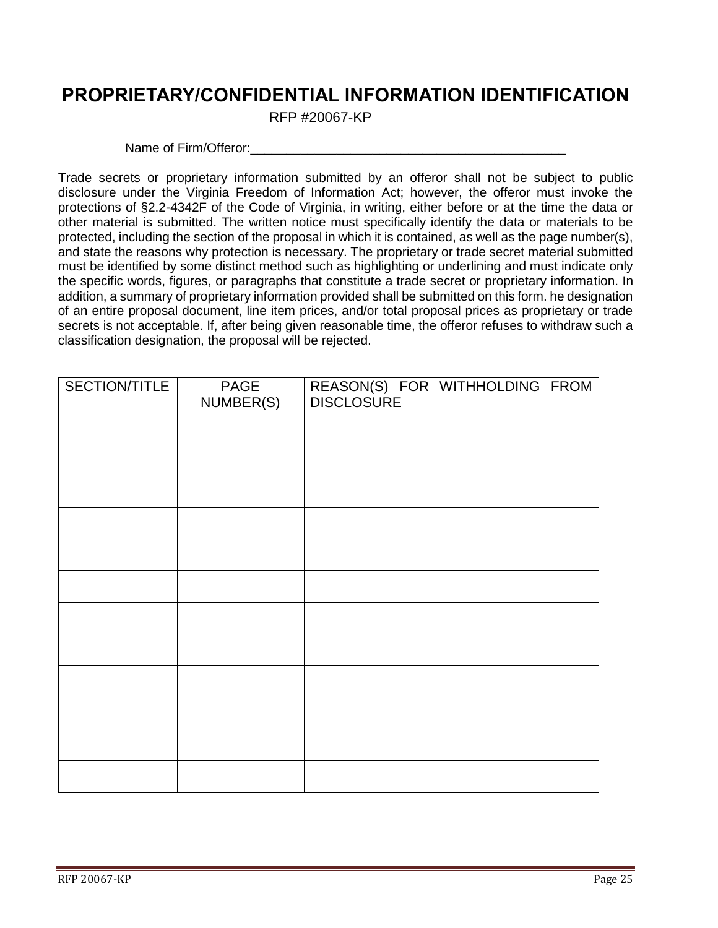## <span id="page-24-0"></span>**PROPRIETARY/CONFIDENTIAL INFORMATION IDENTIFICATION**

RFP #20067-KP

Name of Firm/Offeror:

Trade secrets or proprietary information submitted by an offeror shall not be subject to public disclosure under the Virginia Freedom of Information Act; however, the offeror must invoke the protections of §2.2-4342F of the Code of Virginia, in writing, either before or at the time the data or other material is submitted. The written notice must specifically identify the data or materials to be protected, including the section of the proposal in which it is contained, as well as the page number(s), and state the reasons why protection is necessary. The proprietary or trade secret material submitted must be identified by some distinct method such as highlighting or underlining and must indicate only the specific words, figures, or paragraphs that constitute a trade secret or proprietary information. In addition, a summary of proprietary information provided shall be submitted on this form. he designation of an entire proposal document, line item prices, and/or total proposal prices as proprietary or trade secrets is not acceptable. If, after being given reasonable time, the offeror refuses to withdraw such a classification designation, the proposal will be rejected.

| SECTION/TITLE | PAGE<br>NUMBER(S) | REASON(S) FOR WITHHOLDING FROM<br><b>DISCLOSURE</b> |
|---------------|-------------------|-----------------------------------------------------|
|               |                   |                                                     |
|               |                   |                                                     |
|               |                   |                                                     |
|               |                   |                                                     |
|               |                   |                                                     |
|               |                   |                                                     |
|               |                   |                                                     |
|               |                   |                                                     |
|               |                   |                                                     |
|               |                   |                                                     |
|               |                   |                                                     |
|               |                   |                                                     |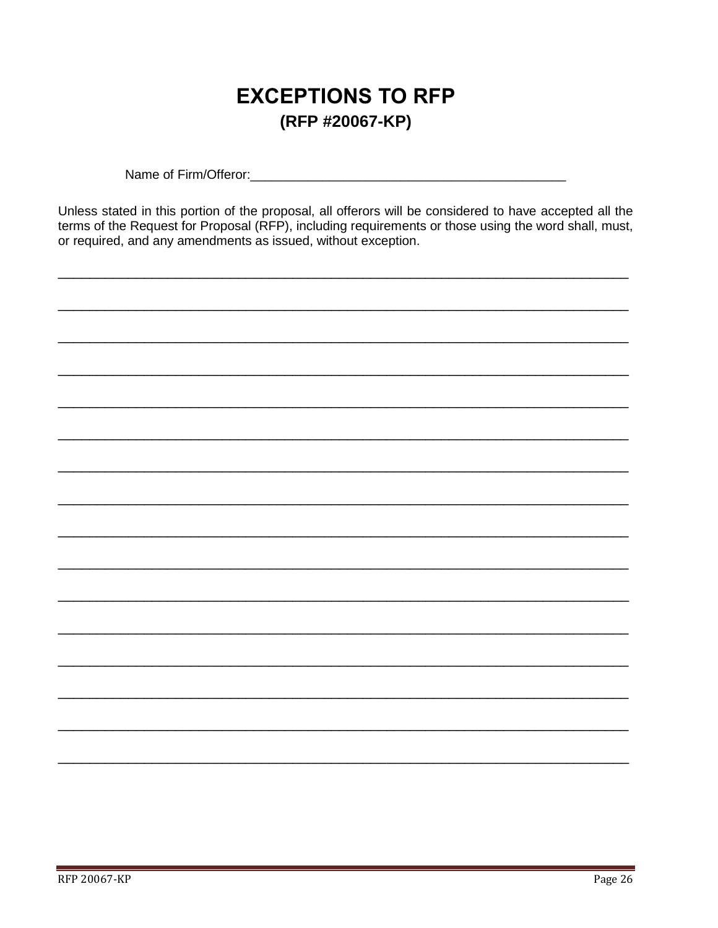## **EXCEPTIONS TO RFP** (RFP #20067-KP)

<span id="page-25-0"></span>Name of Firm/Offeror: We have a state of the state of the state of the state of the state of the state of the state of the state of the state of the state of the state of the state of the state of the state of the state of

Unless stated in this portion of the proposal, all offerors will be considered to have accepted all the terms of the Request for Proposal (RFP), including requirements or those using the word shall, must, or required, and any amendments as issued, without exception.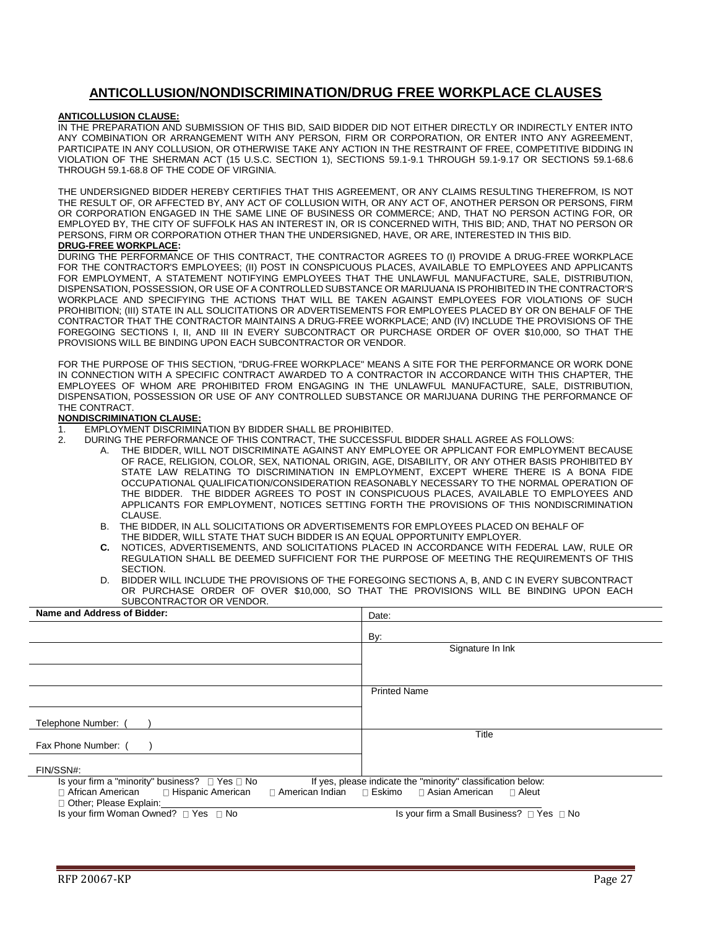#### **ANTICOLLUSION/NONDISCRIMINATION/DRUG FREE WORKPLACE CLAUSES**

#### <span id="page-26-0"></span>**ANTICOLLUSION CLAUSE:**

IN THE PREPARATION AND SUBMISSION OF THIS BID, SAID BIDDER DID NOT EITHER DIRECTLY OR INDIRECTLY ENTER INTO ANY COMBINATION OR ARRANGEMENT WITH ANY PERSON, FIRM OR CORPORATION, OR ENTER INTO ANY AGREEMENT, PARTICIPATE IN ANY COLLUSION, OR OTHERWISE TAKE ANY ACTION IN THE RESTRAINT OF FREE, COMPETITIVE BIDDING IN VIOLATION OF THE SHERMAN ACT (15 U.S.C. SECTION 1), SECTIONS 59.1-9.1 THROUGH 59.1-9.17 OR SECTIONS 59.1-68.6 THROUGH 59.1-68.8 OF THE CODE OF VIRGINIA.

THE UNDERSIGNED BIDDER HEREBY CERTIFIES THAT THIS AGREEMENT, OR ANY CLAIMS RESULTING THEREFROM, IS NOT THE RESULT OF, OR AFFECTED BY, ANY ACT OF COLLUSION WITH, OR ANY ACT OF, ANOTHER PERSON OR PERSONS, FIRM OR CORPORATION ENGAGED IN THE SAME LINE OF BUSINESS OR COMMERCE; AND, THAT NO PERSON ACTING FOR, OR EMPLOYED BY, THE CITY OF SUFFOLK HAS AN INTEREST IN, OR IS CONCERNED WITH, THIS BID; AND, THAT NO PERSON OR PERSONS, FIRM OR CORPORATION OTHER THAN THE UNDERSIGNED, HAVE, OR ARE, INTERESTED IN THIS BID.

#### **DRUG-FREE WORKPLACE:**

DURING THE PERFORMANCE OF THIS CONTRACT, THE CONTRACTOR AGREES TO (I) PROVIDE A DRUG-FREE WORKPLACE FOR THE CONTRACTOR'S EMPLOYEES; (II) POST IN CONSPICUOUS PLACES, AVAILABLE TO EMPLOYEES AND APPLICANTS FOR EMPLOYMENT, A STATEMENT NOTIFYING EMPLOYEES THAT THE UNLAWFUL MANUFACTURE, SALE, DISTRIBUTION, DISPENSATION, POSSESSION, OR USE OF A CONTROLLED SUBSTANCE OR MARIJUANA IS PROHIBITED IN THE CONTRACTOR'S WORKPLACE AND SPECIFYING THE ACTIONS THAT WILL BE TAKEN AGAINST EMPLOYEES FOR VIOLATIONS OF SUCH PROHIBITION; (III) STATE IN ALL SOLICITATIONS OR ADVERTISEMENTS FOR EMPLOYEES PLACED BY OR ON BEHALF OF THE CONTRACTOR THAT THE CONTRACTOR MAINTAINS A DRUG-FREE WORKPLACE; AND (IV) INCLUDE THE PROVISIONS OF THE FOREGOING SECTIONS I, II, AND III IN EVERY SUBCONTRACT OR PURCHASE ORDER OF OVER \$10,000, SO THAT THE PROVISIONS WILL BE BINDING UPON EACH SUBCONTRACTOR OR VENDOR.

FOR THE PURPOSE OF THIS SECTION, "DRUG-FREE WORKPLACE" MEANS A SITE FOR THE PERFORMANCE OR WORK DONE IN CONNECTION WITH A SPECIFIC CONTRACT AWARDED TO A CONTRACTOR IN ACCORDANCE WITH THIS CHAPTER, THE EMPLOYEES OF WHOM ARE PROHIBITED FROM ENGAGING IN THE UNLAWFUL MANUFACTURE, SALE, DISTRIBUTION, DISPENSATION, POSSESSION OR USE OF ANY CONTROLLED SUBSTANCE OR MARIJUANA DURING THE PERFORMANCE OF THE CONTRACT.

#### **NONDISCRIMINATION CLAUSE:**

- 1. EMPLOYMENT DISCRIMINATION BY BIDDER SHALL BE PROHIBITED.<br>2. DURING THE PERFORMANCE OF THIS CONTRACT. THE SUCCESSEL
	- 2. DURING THE PERFORMANCE OF THIS CONTRACT, THE SUCCESSFUL BIDDER SHALL AGREE AS FOLLOWS:
		- A. THE BIDDER, WILL NOT DISCRIMINATE AGAINST ANY EMPLOYEE OR APPLICANT FOR EMPLOYMENT BECAUSE OF RACE, RELIGION, COLOR, SEX, NATIONAL ORIGIN, AGE, DISABILITY, OR ANY OTHER BASIS PROHIBITED BY STATE LAW RELATING TO DISCRIMINATION IN EMPLOYMENT, EXCEPT WHERE THERE IS A BONA FIDE OCCUPATIONAL QUALIFICATION/CONSIDERATION REASONABLY NECESSARY TO THE NORMAL OPERATION OF THE BIDDER. THE BIDDER AGREES TO POST IN CONSPICUOUS PLACES, AVAILABLE TO EMPLOYEES AND APPLICANTS FOR EMPLOYMENT, NOTICES SETTING FORTH THE PROVISIONS OF THIS NONDISCRIMINATION CLAUSE.
		- B. THE BIDDER, IN ALL SOLICITATIONS OR ADVERTISEMENTS FOR EMPLOYEES PLACED ON BEHALF OF THE BIDDER, WILL STATE THAT SUCH BIDDER IS AN EQUAL OPPORTUNITY EMPLOYER.
		- **C.** NOTICES, ADVERTISEMENTS, AND SOLICITATIONS PLACED IN ACCORDANCE WITH FEDERAL LAW, RULE OR REGULATION SHALL BE DEEMED SUFFICIENT FOR THE PURPOSE OF MEETING THE REQUIREMENTS OF THIS SECTION.
		- D. BIDDER WILL INCLUDE THE PROVISIONS OF THE FOREGOING SECTIONS A, B, AND C IN EVERY SUBCONTRACT OR PURCHASE ORDER OF OVER \$10,000, SO THAT THE PROVISIONS WILL BE BINDING UPON EACH SUBCONTRACTOR OR VENDOR.

| Name and Address of Bidder:                                                                                | Date:                                                        |
|------------------------------------------------------------------------------------------------------------|--------------------------------------------------------------|
|                                                                                                            | By:                                                          |
|                                                                                                            | Signature In Ink                                             |
|                                                                                                            |                                                              |
|                                                                                                            | <b>Printed Name</b>                                          |
|                                                                                                            |                                                              |
| Telephone Number:                                                                                          |                                                              |
| Fax Phone Number: (                                                                                        | Title                                                        |
| FIN/SSN#:                                                                                                  |                                                              |
| Is your firm a "minority" business? $\Box$ Yes $\Box$ No                                                   | If yes, please indicate the "minority" classification below: |
| $\Box$ African American $\Box$ Hispanic American<br>□ American Indian □ Eskimo<br>□ Other; Please Explain: | □ Asian American<br>⊟ Aleut                                  |
| Is your firm Woman Owned? □ Yes □ No                                                                       | Is your firm a Small Business? □ Yes □ No                    |